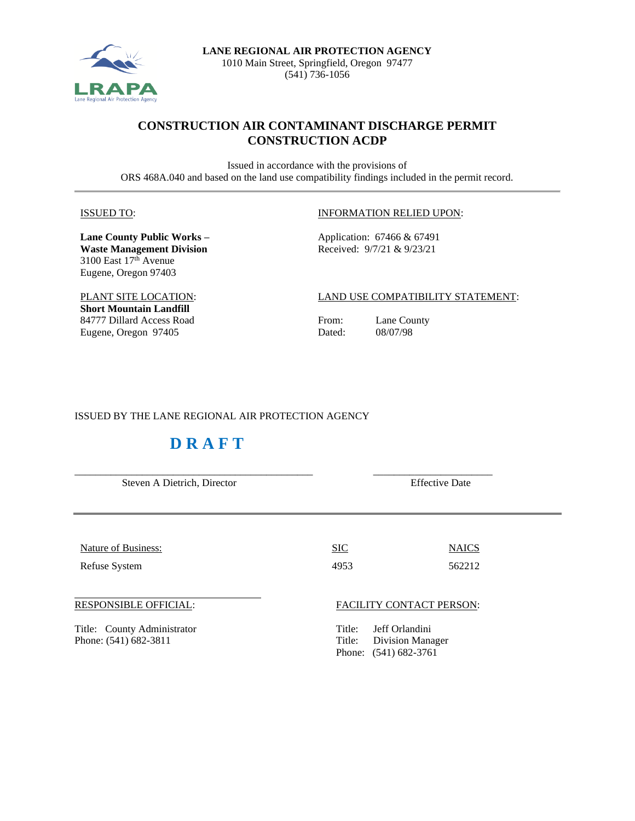

## **CONSTRUCTION AIR CONTAMINANT DISCHARGE PERMIT CONSTRUCTION ACDP**

Issued in accordance with the provisions of ORS 468A.040 and based on the land use compatibility findings included in the permit record.

#### ISSUED TO:

**Lane County Public Works – Waste Management Division** 3100 East 17th Avenue Eugene, Oregon 97403

#### INFORMATION RELIED UPON:

Application: 67466 & 67491 Received: 9/7/21 & 9/23/21

## LAND USE COMPATIBILITY STATEMENT:

PLANT SITE LOCATION: **Short Mountain Landfill** 84777 Dillard Access Road Eugene, Oregon 97405

From: Lane County Dated: 08/07/98

ISSUED BY THE LANE REGIONAL AIR PROTECTION AGENCY

# **D R A F T**

| Steven A Dietrich, Director                          |                                              | <b>Effective Date</b>                |  |
|------------------------------------------------------|----------------------------------------------|--------------------------------------|--|
| Nature of Business:<br><b>Refuse System</b>          | $SIC$<br>4953                                | <b>NAICS</b><br>562212               |  |
| <b>RESPONSIBLE OFFICIAL:</b>                         |                                              | <b>FACILITY CONTACT PERSON:</b>      |  |
| Title: County Administrator<br>Phone: (541) 682-3811 | Jeff Orlandini<br>Title:<br>Title:<br>Phone: | Division Manager<br>$(541)$ 682-3761 |  |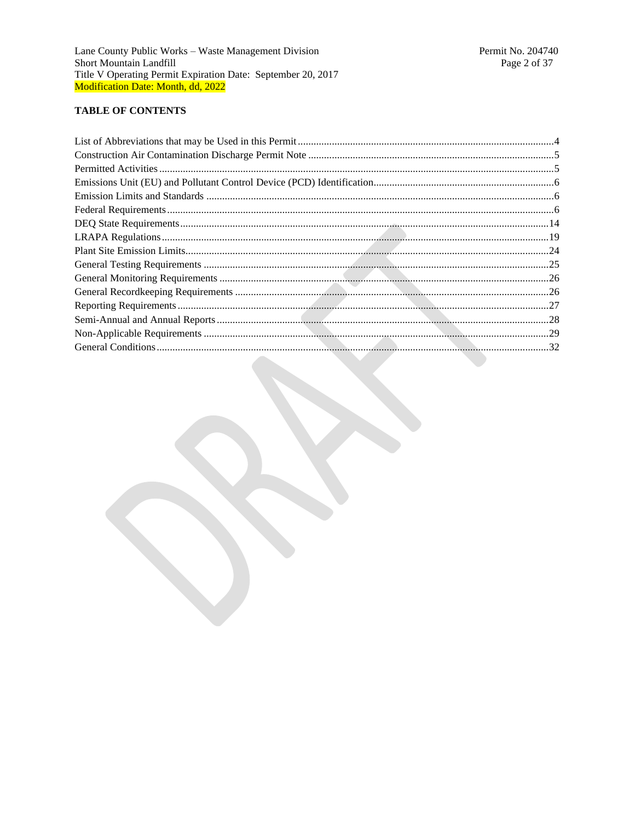## **TABLE OF CONTENTS**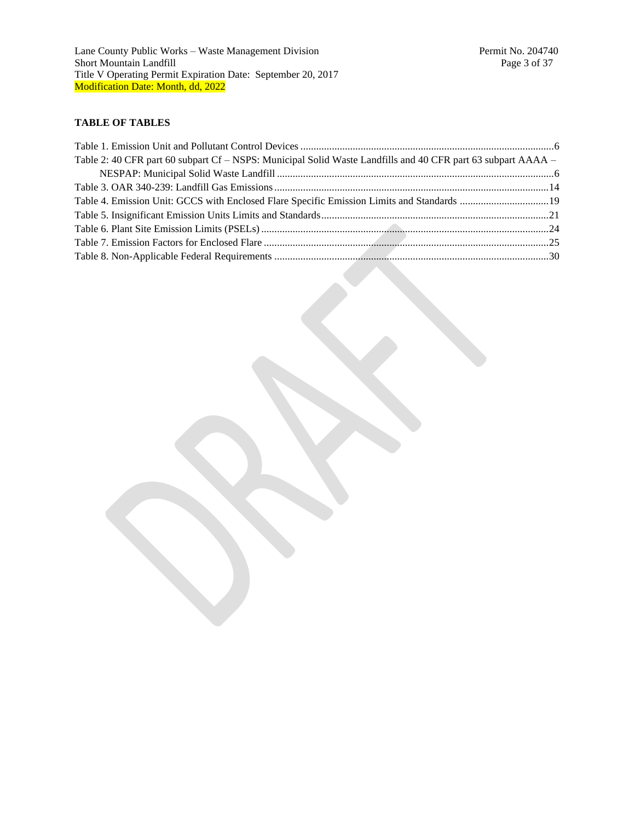## **TABLE OF TABLES**

| Table 2: 40 CFR part 60 subpart Cf – NSPS: Municipal Solid Waste Landfills and 40 CFR part 63 subpart AAAA – |  |
|--------------------------------------------------------------------------------------------------------------|--|
|                                                                                                              |  |
|                                                                                                              |  |
|                                                                                                              |  |
|                                                                                                              |  |
|                                                                                                              |  |
|                                                                                                              |  |
|                                                                                                              |  |
|                                                                                                              |  |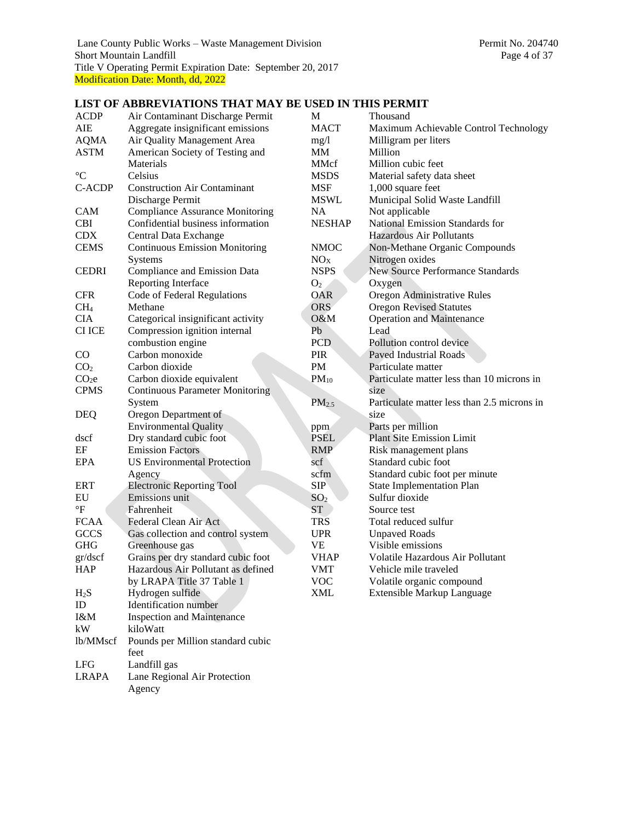Agency

## **LIST OF ABBREVIATIONS THAT MAY BE USED IN THIS PERMIT**

| <b>ACDP</b>          | Air Contaminant Discharge Permit       | M                 | Thousand                                    |
|----------------------|----------------------------------------|-------------------|---------------------------------------------|
| AIE                  | Aggregate insignificant emissions      | <b>MACT</b>       | Maximum Achievable Control Technology       |
| <b>AQMA</b>          | Air Quality Management Area            | mg/1              | Milligram per liters                        |
| <b>ASTM</b>          | American Society of Testing and        | MМ                | Million                                     |
|                      | Materials                              | <b>MMcf</b>       | Million cubic feet                          |
| $\rm ^{\circ}C$      | Celsius                                | <b>MSDS</b>       | Material safety data sheet                  |
| C-ACDP               | <b>Construction Air Contaminant</b>    | <b>MSF</b>        | 1,000 square feet                           |
|                      | Discharge Permit                       | <b>MSWL</b>       | Municipal Solid Waste Landfill              |
| <b>CAM</b>           | <b>Compliance Assurance Monitoring</b> | NA                | Not applicable                              |
| <b>CBI</b>           | Confidential business information      | <b>NESHAP</b>     | National Emission Standards for             |
| <b>CDX</b>           | Central Data Exchange                  |                   | Hazardous Air Pollutants                    |
| <b>CEMS</b>          | <b>Continuous Emission Monitoring</b>  | <b>NMOC</b>       | Non-Methane Organic Compounds               |
|                      | <b>Systems</b>                         | $\rm NO_X$        | Nitrogen oxides                             |
| <b>CEDRI</b>         | Compliance and Emission Data           | <b>NSPS</b>       | <b>New Source Performance Standards</b>     |
|                      | Reporting Interface                    | O <sub>2</sub>    | Oxygen                                      |
| <b>CFR</b>           | Code of Federal Regulations            | <b>OAR</b>        | Oregon Administrative Rules                 |
| CH <sub>4</sub>      | Methane                                | <b>ORS</b>        | <b>Oregon Revised Statutes</b>              |
| <b>CIA</b>           | Categorical insignificant activity     | O&M               | <b>Operation and Maintenance</b>            |
| <b>CI ICE</b>        | Compression ignition internal          | Pb                | Lead                                        |
|                      | combustion engine                      | <b>PCD</b>        | Pollution control device                    |
| $\rm CO$             | Carbon monoxide                        | <b>PIR</b>        | <b>Paved Industrial Roads</b>               |
| CO <sub>2</sub>      | Carbon dioxide                         | PM                | Particulate matter                          |
| CO <sub>2</sub> e    | Carbon dioxide equivalent              | $PM_{10}$         | Particulate matter less than 10 microns in  |
| <b>CPMS</b>          | <b>Continuous Parameter Monitoring</b> |                   | size                                        |
|                      | System                                 | PM <sub>2.5</sub> | Particulate matter less than 2.5 microns in |
| <b>DEQ</b>           | Oregon Department of                   |                   | size                                        |
|                      | <b>Environmental Quality</b>           | ppm               | Parts per million                           |
| dscf                 | Dry standard cubic foot                | <b>PSEL</b>       | <b>Plant Site Emission Limit</b>            |
| EF                   | <b>Emission Factors</b>                | <b>RMP</b>        | Risk management plans                       |
| <b>EPA</b>           | <b>US Environmental Protection</b>     | scf               | Standard cubic foot                         |
|                      | Agency                                 | scfm              | Standard cubic foot per minute              |
| <b>ERT</b>           | <b>Electronic Reporting Tool</b>       | <b>SIP</b>        | <b>State Implementation Plan</b>            |
| EU                   | Emissions unit                         | SO <sub>2</sub>   | Sulfur dioxide                              |
| $\mathrm{^{\circ}F}$ | Fahrenheit                             | <b>ST</b>         | Source test                                 |
| <b>FCAA</b>          | Federal Clean Air Act                  | <b>TRS</b>        | Total reduced sulfur                        |
| GCCS                 | Gas collection and control system      | <b>UPR</b>        | <b>Unpaved Roads</b>                        |
| <b>GHG</b>           | Greenhouse gas                         | VE                | Visible emissions                           |
| gr/dscf              | Grains per dry standard cubic foot     | <b>VHAP</b>       | Volatile Hazardous Air Pollutant            |
| <b>HAP</b>           | Hazardous Air Pollutant as defined     | <b>VMT</b>        | Vehicle mile traveled                       |
|                      | by LRAPA Title 37 Table 1              | <b>VOC</b>        | Volatile organic compound                   |
| $H_2S$               | Hydrogen sulfide                       | <b>XML</b>        | Extensible Markup Language                  |
| ID                   | Identification number                  |                   |                                             |
| I&M                  | <b>Inspection and Maintenance</b>      |                   |                                             |
| kW                   | kiloWatt                               |                   |                                             |
| lb/MMscf             | Pounds per Million standard cubic      |                   |                                             |
|                      | feet                                   |                   |                                             |
| <b>LFG</b>           | Landfill gas                           |                   |                                             |
| <b>LRAPA</b>         | Lane Regional Air Protection           |                   |                                             |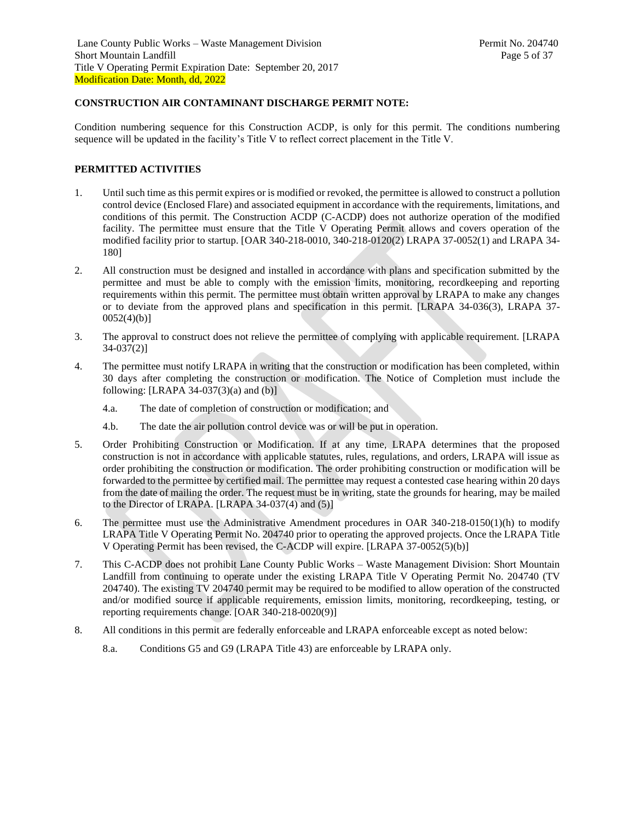## **CONSTRUCTION AIR CONTAMINANT DISCHARGE PERMIT NOTE:**

Condition numbering sequence for this Construction ACDP, is only for this permit. The conditions numbering sequence will be updated in the facility's Title V to reflect correct placement in the Title V.

#### **PERMITTED ACTIVITIES**

- 1. Until such time as this permit expires or is modified or revoked, the permittee is allowed to construct a pollution control device (Enclosed Flare) and associated equipment in accordance with the requirements, limitations, and conditions of this permit. The Construction ACDP (C-ACDP) does not authorize operation of the modified facility. The permittee must ensure that the Title V Operating Permit allows and covers operation of the modified facility prior to startup. [OAR 340-218-0010, 340-218-0120(2) LRAPA 37-0052(1) and LRAPA 34- 180]
- 2. All construction must be designed and installed in accordance with plans and specification submitted by the permittee and must be able to comply with the emission limits, monitoring, recordkeeping and reporting requirements within this permit. The permittee must obtain written approval by LRAPA to make any changes or to deviate from the approved plans and specification in this permit. [LRAPA 34-036(3), LRAPA 37- 0052(4)(b)]
- 3. The approval to construct does not relieve the permittee of complying with applicable requirement. [LRAPA 34-037(2)]
- 4. The permittee must notify LRAPA in writing that the construction or modification has been completed, within 30 days after completing the construction or modification. The Notice of Completion must include the following:  $[LRAPA 34-037(3)(a)$  and  $(b)]$ 
	- 4.a. The date of completion of construction or modification; and
	- 4.b. The date the air pollution control device was or will be put in operation.
- 5. Order Prohibiting Construction or Modification. If at any time, LRAPA determines that the proposed construction is not in accordance with applicable statutes, rules, regulations, and orders, LRAPA will issue as order prohibiting the construction or modification. The order prohibiting construction or modification will be forwarded to the permittee by certified mail. The permittee may request a contested case hearing within 20 days from the date of mailing the order. The request must be in writing, state the grounds for hearing, may be mailed to the Director of LRAPA. [LRAPA 34-037(4) and (5)]
- 6. The permittee must use the Administrative Amendment procedures in OAR 340-218-0150(1)(h) to modify LRAPA Title V Operating Permit No. 204740 prior to operating the approved projects. Once the LRAPA Title V Operating Permit has been revised, the C-ACDP will expire. [LRAPA 37-0052(5)(b)]
- 7. This C-ACDP does not prohibit Lane County Public Works Waste Management Division: Short Mountain Landfill from continuing to operate under the existing LRAPA Title V Operating Permit No. 204740 (TV 204740). The existing TV 204740 permit may be required to be modified to allow operation of the constructed and/or modified source if applicable requirements, emission limits, monitoring, recordkeeping, testing, or reporting requirements change. [OAR 340-218-0020(9)]
- 8. All conditions in this permit are federally enforceable and LRAPA enforceable except as noted below:
	- 8.a. Conditions G5 and G9 (LRAPA Title 43) are enforceable by LRAPA only.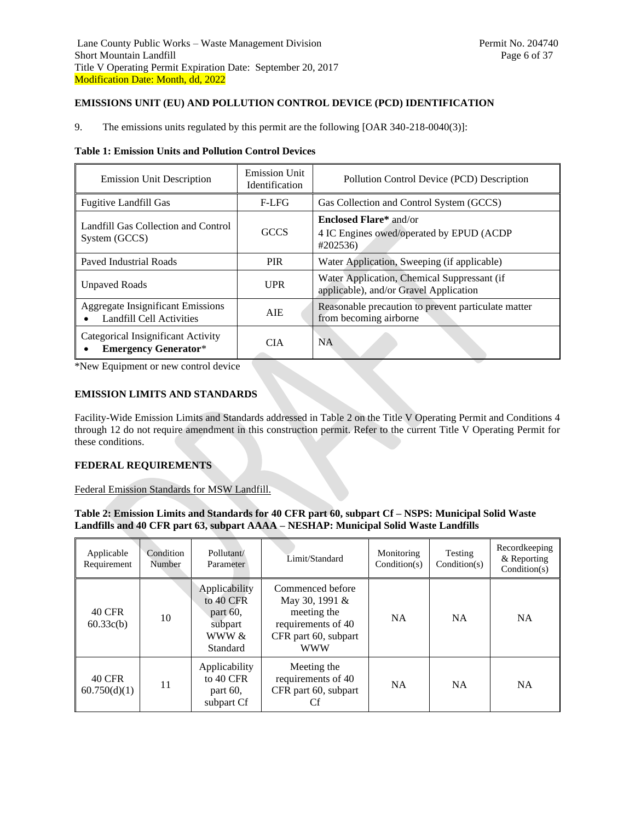## **EMISSIONS UNIT (EU) AND POLLUTION CONTROL DEVICE (PCD) IDENTIFICATION**

9. The emissions units regulated by this permit are the following [OAR 340-218-0040(3)]:

**Table 1: Emission Units and Pollution Control Devices**

| <b>Emission Unit Description</b>                                            | <b>Emission Unit</b><br><b>Identification</b> | Pollution Control Device (PCD) Description                                            |
|-----------------------------------------------------------------------------|-----------------------------------------------|---------------------------------------------------------------------------------------|
| <b>Fugitive Landfill Gas</b>                                                | F-LFG                                         | Gas Collection and Control System (GCCS)                                              |
| Landfill Gas Collection and Control<br>System (GCCS)                        | <b>GCCS</b>                                   | <b>Enclosed Flare*</b> and/or<br>4 IC Engines owed/operated by EPUD (ACDP<br>#202536  |
| Paved Industrial Roads                                                      | <b>PIR</b>                                    | Water Application, Sweeping (if applicable)                                           |
| <b>Unpaved Roads</b>                                                        | <b>UPR</b>                                    | Water Application, Chemical Suppressant (if<br>applicable), and/or Gravel Application |
| <b>Aggregate Insignificant Emissions</b><br><b>Landfill Cell Activities</b> | <b>AIE</b>                                    | Reasonable precaution to prevent particulate matter<br>from becoming airborne         |
| Categorical Insignificant Activity<br><b>Emergency Generator*</b>           | CIA                                           | <b>NA</b>                                                                             |

\*New Equipment or new control device

## **EMISSION LIMITS AND STANDARDS**

Facility-Wide Emission Limits and Standards addressed in Table 2 on the Title V Operating Permit and Conditions 4 through 12 do not require amendment in this construction permit. Refer to the current Title V Operating Permit for these conditions.

#### **FEDERAL REQUIREMENTS**

Federal Emission Standards for MSW Landfill.

**Table 2: Emission Limits and Standards for 40 CFR part 60, subpart Cf – NSPS: Municipal Solid Waste Landfills and 40 CFR part 63, subpart AAAA – NESHAP: Municipal Solid Waste Landfills**

| Applicable<br>Requirement     | Condition<br>Number | Pollutant/<br>Parameter                                                   | Limit/Standard                                                                                                | Monitoring<br>Condition(s) | Testing<br>Condition(s) | Recordkeeping<br>& Reporting<br>Condition(s) |
|-------------------------------|---------------------|---------------------------------------------------------------------------|---------------------------------------------------------------------------------------------------------------|----------------------------|-------------------------|----------------------------------------------|
| <b>40 CFR</b><br>60.33c(b)    | 10                  | Applicability<br>to 40 CFR<br>part $60$ .<br>subpart<br>WWW &<br>Standard | Commenced before<br>May 30, 1991 &<br>meeting the<br>requirements of 40<br>CFR part 60, subpart<br><b>WWW</b> | <b>NA</b>                  | <b>NA</b>               | <b>NA</b>                                    |
| <b>40 CFR</b><br>60.750(d)(1) | 11                  | Applicability<br>to 40 CFR<br>part $60$ ,<br>subpart Cf                   | Meeting the<br>requirements of 40<br>CFR part 60, subpart                                                     | <b>NA</b>                  | <b>NA</b>               | <b>NA</b>                                    |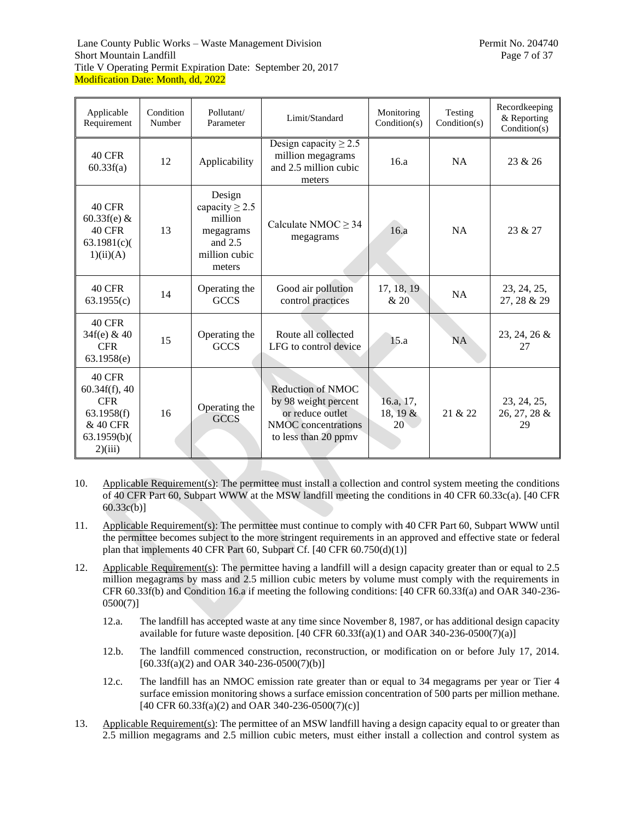Lane County Public Works – Waste Management Division Permit No. 204740 Short Mountain Landfill Page 7 of 37 Title V Operating Permit Expiration Date: September 20, 2017 Modification Date: Month, dd, 2022

| Applicable<br>Requirement                                                                          | Condition<br>Number | Pollutant/<br>Parameter                                                                       | Limit/Standard                                                                                               | Monitoring<br>Condition(s)  | Testing<br>Condition(s) | Recordkeeping<br>& Reporting<br>Condition(s) |
|----------------------------------------------------------------------------------------------------|---------------------|-----------------------------------------------------------------------------------------------|--------------------------------------------------------------------------------------------------------------|-----------------------------|-------------------------|----------------------------------------------|
| <b>40 CFR</b><br>60.33f(a)                                                                         | 12                  | Applicability                                                                                 | Design capacity $\geq 2.5$<br>million megagrams<br>and 2.5 million cubic<br>meters                           | 16.a                        | <b>NA</b>               | 23 & 26                                      |
| <b>40 CFR</b><br>60.33 $f(e)$ &<br><b>40 CFR</b><br>63.1981(c)<br>1)(ii)(A)                        | 13                  | Design<br>capacity $\geq$ 2.5<br>million<br>megagrams<br>and $2.5$<br>million cubic<br>meters | Calculate NMOC $\geq$ 34<br>megagrams                                                                        | 16.a                        | NA                      | 23 & 27                                      |
| <b>40 CFR</b><br>63.1955(c)                                                                        | 14                  | Operating the<br><b>GCCS</b>                                                                  | Good air pollution<br>control practices                                                                      | 17, 18, 19<br>& 20          | <b>NA</b>               | 23, 24, 25,<br>27, 28 & 29                   |
| <b>40 CFR</b><br>$34f(e)$ & 40<br><b>CFR</b><br>63.1958(e)                                         | 15                  | Operating the<br><b>GCCS</b>                                                                  | Route all collected<br>LFG to control device                                                                 | 15.a                        | <b>NA</b>               | $23, 24, 26 \&$<br>27                        |
| <b>40 CFR</b><br>$60.34f(f)$ , 40<br><b>CFR</b><br>63.1958(f)<br>& 40 CFR<br>63.1959(b)<br>2)(iii) | 16                  | Operating the<br><b>GCCS</b>                                                                  | Reduction of NMOC<br>by 98 weight percent<br>or reduce outlet<br>NMOC concentrations<br>to less than 20 ppmv | 16.a, 17,<br>18, 19 &<br>20 | 21 & 22                 | 23, 24, 25,<br>26, 27, 28 &<br>29            |

- <span id="page-6-0"></span>10. Applicable Requirement(s): The permittee must install a collection and control system meeting the conditions of 40 CFR Part 60, Subpart WWW at the MSW landfill meeting the conditions in 40 CFR 60.33c(a). [40 CFR 60.33c(b)]
- <span id="page-6-1"></span>11. Applicable Requirement(s): The permittee must continue to comply with 40 CFR Part 60, Subpart WWW until the permittee becomes subject to the more stringent requirements in an approved and effective state or federal plan that implements 40 CFR Part 60, Subpart Cf. [40 CFR 60.750(d)(1)]
- <span id="page-6-2"></span>12. Applicable Requirement(s): The permittee having a landfill will a design capacity greater than or equal to 2.5 million megagrams by mass and 2.5 million cubic meters by volume must comply with the requirements in CFR 60.33f(b) and Condition [16.a](#page-7-0) if meeting the following conditions: [40 CFR 60.33f(a) and OAR 340-236- 0500(7)]
	- 12.a. The landfill has accepted waste at any time since November 8, 1987, or has additional design capacity available for future waste deposition.  $[40 \text{ CFR } 60.33 \text{f(a)}(1)$  and OAR 340-236-0500(7)(a)]
	- 12.b. The landfill commenced construction, reconstruction, or modification on or before July 17, 2014.  $[60.33f(a)(2)$  and OAR 340-236-0500(7)(b)]
	- 12.c. The landfill has an NMOC emission rate greater than or equal to 34 megagrams per year or Tier 4 surface emission monitoring shows a surface emission concentration of 500 parts per million methane. [40 CFR 60.33 $f(a)(2)$  and OAR 340-236-0500(7)(c)]
- <span id="page-6-3"></span>13. Applicable Requirement(s): The permittee of an MSW landfill having a design capacity equal to or greater than 2.5 million megagrams and 2.5 million cubic meters, must either install a collection and control system as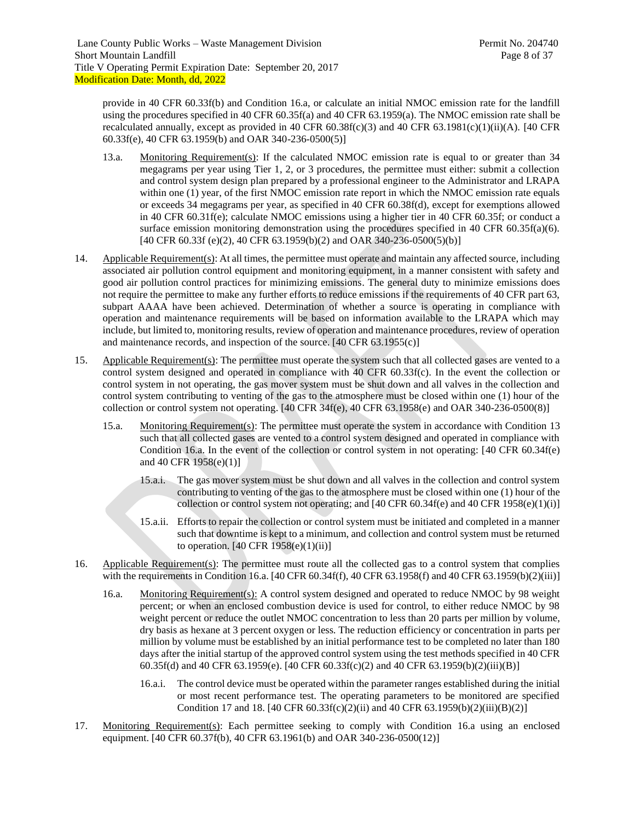provide in 40 CFR 60.33f(b) and Condition [16.a,](#page-7-0) or calculate an initial NMOC emission rate for the landfill using the procedures specified in 40 CFR 60.35f(a) and 40 CFR 63.1959(a). The NMOC emission rate shall be recalculated annually, except as provided in 40 CFR  $60.38f(c)(3)$  and 40 CFR  $63.1981(c)(1)(ii)(A)$ . [40 CFR 60.33f(e), 40 CFR 63.1959(b) and OAR 340-236-0500(5)]

- <span id="page-7-6"></span>13.a. Monitoring Requirement(s): If the calculated NMOC emission rate is equal to or greater than 34 megagrams per year using Tier 1, 2, or 3 procedures, the permittee must either: submit a collection and control system design plan prepared by a professional engineer to the Administrator and LRAPA within one (1) year, of the first NMOC emission rate report in which the NMOC emission rate equals or exceeds 34 megagrams per year, as specified in 40 CFR 60.38f(d), except for exemptions allowed in 40 CFR 60.31f(e); calculate NMOC emissions using a higher tier in 40 CFR 60.35f; or conduct a surface emission monitoring demonstration using the procedures specified in 40 CFR  $60.35f(a)(6)$ . [40 CFR 60.33f (e)(2), 40 CFR 63.1959(b)(2) and OAR 340-236-0500(5)(b)]
- <span id="page-7-1"></span>14. Applicable Requirement(s): At all times, the permittee must operate and maintain any affected source, including associated air pollution control equipment and monitoring equipment, in a manner consistent with safety and good air pollution control practices for minimizing emissions. The general duty to minimize emissions does not require the permittee to make any further efforts to reduce emissions if the requirements of 40 CFR part 63, subpart AAAA have been achieved. Determination of whether a source is operating in compliance with operation and maintenance requirements will be based on information available to the LRAPA which may include, but limited to, monitoring results, review of operation and maintenance procedures, review of operation and maintenance records, and inspection of the source. [40 CFR 63.1955(c)]
- <span id="page-7-5"></span><span id="page-7-3"></span>15. Applicable Requirement(s): The permittee must operate the system such that all collected gases are vented to a control system designed and operated in compliance with 40 CFR 60.33f(c). In the event the collection or control system in not operating, the gas mover system must be shut down and all valves in the collection and control system contributing to venting of the gas to the atmosphere must be closed within one (1) hour of the collection or control system not operating. [40 CFR 34f(e), 40 CFR 63.1958(e) and OAR 340-236-0500(8)]
	- 15.a. Monitoring Requirement(s): The permittee must operate the system in accordance with Condition [13](#page-6-3) such that all collected gases are vented to a control system designed and operated in compliance with Condition [16.a.](#page-7-0) In the event of the collection or control system in not operating: [40 CFR 60.34f(e) and 40 CFR 1958(e)(1)]
		- 15.a.i. The gas mover system must be shut down and all valves in the collection and control system contributing to venting of the gas to the atmosphere must be closed within one (1) hour of the collection or control system not operating; and  $[40 \text{ CFR } 60.34 \text{f(e)}$  and  $40 \text{ CFR } 1958 \text{ (e)}(1)(i)]$
		- 15.a.ii. Efforts to repair the collection or control system must be initiated and completed in a manner such that downtime is kept to a minimum, and collection and control system must be returned to operation.  $[40 \text{ CFR } 1958(e)(1)(ii)]$
- <span id="page-7-4"></span><span id="page-7-0"></span>16. Applicable Requirement(s): The permittee must route all the collected gas to a control system that complies with the requirements in Conditio[n 16.a.](#page-7-0) [40 CFR 60.34f(f), 40 CFR 63.1958(f) and 40 CFR 63.1959(b)(2)(iii)]
	- 16.a. Monitoring Requirement(s): A control system designed and operated to reduce NMOC by 98 weight percent; or when an enclosed combustion device is used for control, to either reduce NMOC by 98 weight percent or reduce the outlet NMOC concentration to less than 20 parts per million by volume, dry basis as hexane at 3 percent oxygen or less. The reduction efficiency or concentration in parts per million by volume must be established by an initial performance test to be completed no later than 180 days after the initial startup of the approved control system using the test methods specified in 40 CFR 60.35f(d) and 40 CFR 63.1959(e). [40 CFR 60.33f(c)(2) and 40 CFR 63.1959(b)(2)(iii)(B)]
		- 16.a.i. The control device must be operated within the parameter ranges established during the initial or most recent performance test. The operating parameters to be monitored are specified Conditio[n 17](#page-7-2) and [18.](#page-8-0) [40 CFR 60.33 $f(c)(2)(ii)$  and 40 CFR 63.1959(b)(2)(iii)(B)(2)]
- <span id="page-7-2"></span>17. Monitoring Requirement(s): Each permittee seeking to comply with Condition [16.a](#page-7-0) using an enclosed equipment. [40 CFR 60.37f(b), 40 CFR 63.1961(b) and OAR 340-236-0500(12)]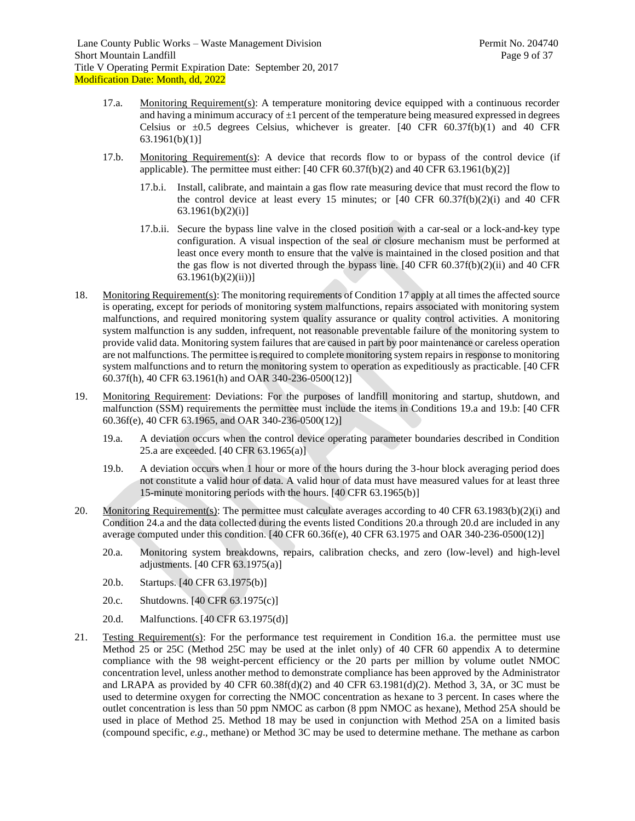- 17.a. Monitoring Requirement(s): A temperature monitoring device equipped with a continuous recorder and having a minimum accuracy of  $\pm 1$  percent of the temperature being measured expressed in degrees Celsius or  $\pm 0.5$  degrees Celsius, whichever is greater. [40 CFR 60.37f(b)(1) and 40 CFR 63.1961(b)(1)]
- <span id="page-8-8"></span>17.b. Monitoring Requirement(s): A device that records flow to or bypass of the control device (if applicable). The permittee must either:  $[40 \text{ CFR } 60.37 \text{ftb}(2)]$  and  $40 \text{ CFR } 63.1961 \text{ftb}(2)]$ 
	- 17.b.i. Install, calibrate, and maintain a gas flow rate measuring device that must record the flow to the control device at least every 15 minutes; or  $[40 \text{ CFR } 60.37 \text{ ftb})(2)(i)$  and 40 CFR 63.1961(b)(2)(i)]
	- 17.b.ii. Secure the bypass line valve in the closed position with a car-seal or a lock-and-key type configuration. A visual inspection of the seal or closure mechanism must be performed at least once every month to ensure that the valve is maintained in the closed position and that the gas flow is not diverted through the bypass line.  $[40 \text{ CFR } 60.37 \text{f(b)}(2)(ii)$  and 40 CFR  $63.1961(b)(2)(ii))$ ]
- <span id="page-8-0"></span>18. Monitoring Requirement(s): The monitoring requirements of Conditio[n 17](#page-7-2) apply at all times the affected source is operating, except for periods of monitoring system malfunctions, repairs associated with monitoring system malfunctions, and required monitoring system quality assurance or quality control activities. A monitoring system malfunction is any sudden, infrequent, not reasonable preventable failure of the monitoring system to provide valid data. Monitoring system failures that are caused in part by poor maintenance or careless operation are not malfunctions. The permittee is required to complete monitoring system repairs in response to monitoring system malfunctions and to return the monitoring system to operation as expeditiously as practicable. [40 CFR 60.37f(h), 40 CFR 63.1961(h) and OAR 340-236-0500(12)]
- <span id="page-8-4"></span><span id="page-8-1"></span>19. Monitoring Requirement: Deviations: For the purposes of landfill monitoring and startup, shutdown, and malfunction (SSM) requirements the permittee must include the items in Conditions [19.a](#page-8-4) and [19.b:](#page-8-5) [40 CFR 60.36f(e), 40 CFR 63.1965, and OAR 340-236-0500(12)]
	- 19.a. A deviation occurs when the control device operating parameter boundaries described in Condition [25.a](#page-9-4) are exceeded. [40 CFR 63.1965(a)]
	- 19.b. A deviation occurs when 1 hour or more of the hours during the 3-hour block averaging period does not constitute a valid hour of data. A valid hour of data must have measured values for at least three 15-minute monitoring periods with the hours. [40 CFR 63.1965(b)]
- <span id="page-8-6"></span><span id="page-8-5"></span><span id="page-8-2"></span>20. Monitoring Requirement(s): The permittee must calculate averages according to 40 CFR 63.1983(b)(2)(i) and Condition [24.a](#page-9-5) and the data collected during the events listed Conditions [20.a](#page-8-6) through [20.d](#page-8-7) are included in any average computed under this condition. [40 CFR 60.36f(e), 40 CFR 63.1975 and OAR 340-236-0500(12)]
	- 20.a. Monitoring system breakdowns, repairs, calibration checks, and zero (low-level) and high-level adjustments. [40 CFR 63.1975(a)]
	- 20.b. Startups. [40 CFR 63.1975(b)]
	- 20.c. Shutdowns. [40 CFR 63.1975(c)]
	- 20.d. Malfunctions. [40 CFR 63.1975(d)]
- <span id="page-8-7"></span><span id="page-8-3"></span>21. Testing Requirement(s): For the performance test requirement in Condition [16.a.](#page-7-0) the permittee must use Method 25 or 25C (Method 25C may be used at the inlet only) of 40 CFR 60 appendix A to determine compliance with the 98 weight-percent efficiency or the 20 parts per million by volume outlet NMOC concentration level, unless another method to demonstrate compliance has been approved by the Administrator and LRAPA as provided by 40 CFR  $60.38f(d)(2)$  and 40 CFR  $63.1981(d)(2)$ . Method 3, 3A, or 3C must be used to determine oxygen for correcting the NMOC concentration as hexane to 3 percent. In cases where the outlet concentration is less than 50 ppm NMOC as carbon (8 ppm NMOC as hexane), Method 25A should be used in place of Method 25. Method 18 may be used in conjunction with Method 25A on a limited basis (compound specific, *e.g*., methane) or Method 3C may be used to determine methane. The methane as carbon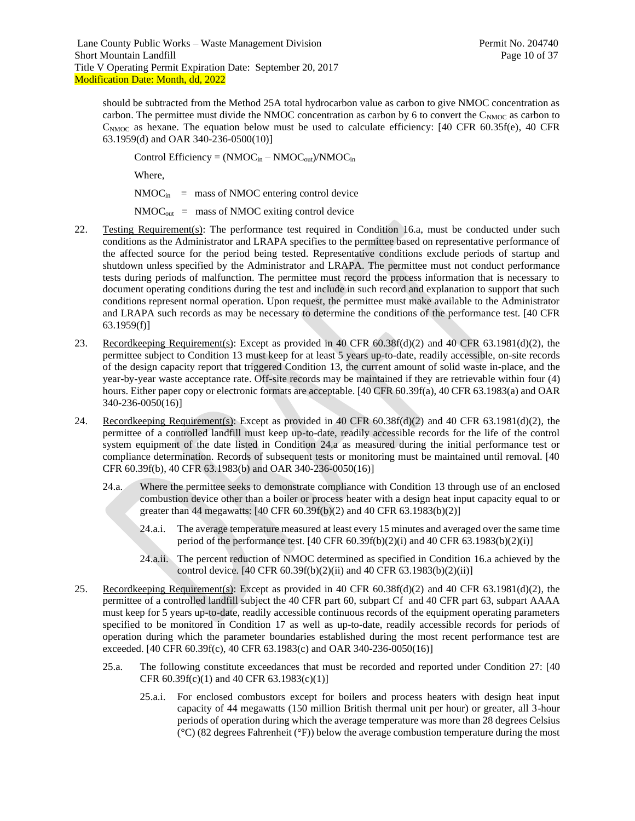Lane County Public Works – Waste Management Division Permit No. 204740 Short Mountain Landfill Page 10 of 37 Title V Operating Permit Expiration Date: September 20, 2017 Modification Date: Month, dd, 2022

should be subtracted from the Method 25A total hydrocarbon value as carbon to give NMOC concentration as carbon. The permittee must divide the NMOC concentration as carbon by 6 to convert the  $C_{NMC}$  as carbon to  $C_{NMC}$  as hexane. The equation below must be used to calculate efficiency: [40 CFR 60.35f(e), 40 CFR 63.1959(d) and OAR 340-236-0500(10)]

Control Efficiency =  $(NMOC<sub>in</sub> - NMOC<sub>out</sub>)/NMOC<sub>in</sub>$ 

Where,

 $NMOC<sub>in</sub>$  = mass of NMOC entering control device

 $NMOC<sub>out</sub>$  = mass of NMOC exiting control device

- <span id="page-9-3"></span>22. Testing Requirement(s): The performance test required in Condition [16.a,](#page-7-0) must be conducted under such conditions as the Administrator and LRAPA specifies to the permittee based on representative performance of the affected source for the period being tested. Representative conditions exclude periods of startup and shutdown unless specified by the Administrator and LRAPA. The permittee must not conduct performance tests during periods of malfunction. The permittee must record the process information that is necessary to document operating conditions during the test and include in such record and explanation to support that such conditions represent normal operation. Upon request, the permittee must make available to the Administrator and LRAPA such records as may be necessary to determine the conditions of the performance test. [40 CFR 63.1959(f)]
- <span id="page-9-0"></span>23. Recordkeeping Requirement(s): Except as provided in 40 CFR 60.38f(d)(2) and 40 CFR 63.1981(d)(2), the permittee subject to Condition [13](#page-6-3) must keep for at least 5 years up-to-date, readily accessible, on-site records of the design capacity report that triggered Condition [13,](#page-6-3) the current amount of solid waste in-place, and the year-by-year waste acceptance rate. Off-site records may be maintained if they are retrievable within four (4) hours. Either paper copy or electronic formats are acceptable. [40 CFR 60.39f(a), 40 CFR 63.1983(a) and OAR 340-236-0050(16)]
- <span id="page-9-5"></span><span id="page-9-1"></span>24. Recordkeeping Requirement(s): Except as provided in 40 CFR 60.38f(d)(2) and 40 CFR 63.1981(d)(2), the permittee of a controlled landfill must keep up-to-date, readily accessible records for the life of the control system equipment of the date listed in Condition [24.a](#page-9-5) as measured during the initial performance test or compliance determination. Records of subsequent tests or monitoring must be maintained until removal. [40 CFR 60.39f(b), 40 CFR 63.1983(b) and OAR 340-236-0050(16)]
	- 24.a. Where the permittee seeks to demonstrate compliance with Condition [13](#page-6-3) through use of an enclosed combustion device other than a boiler or process heater with a design heat input capacity equal to or greater than 44 megawatts:  $[40 \text{ CFR } 60.39f(b)(2)$  and  $40 \text{ CFR } 63.1983(b)(2)]$ 
		- 24.a.i. The average temperature measured at least every 15 minutes and averaged over the same time period of the performance test. [40 CFR 60.39f(b)(2)(i) and 40 CFR 63.1983(b)(2)(i)]
		- 24.a.ii. The percent reduction of NMOC determined as specified in Condition [16.a](#page-7-0) achieved by the control device.  $[40 \text{ CFR } 60.39f(b)(2)(ii)$  and  $40 \text{ CFR } 63.1983(b)(2)(ii)]$
- <span id="page-9-6"></span><span id="page-9-4"></span><span id="page-9-2"></span>25. Recordkeeping Requirement(s): Except as provided in 40 CFR 60.38f(d)(2) and 40 CFR 63.1981(d)(2), the permittee of a controlled landfill subject the 40 CFR part 60, subpart Cf and 40 CFR part 63, subpart AAAA must keep for 5 years up-to-date, readily accessible continuous records of the equipment operating parameters specified to be monitored in Condition [17](#page-7-2) as well as up-to-date, readily accessible records for periods of operation during which the parameter boundaries established during the most recent performance test are exceeded. [40 CFR 60.39f(c), 40 CFR 63.1983(c) and OAR 340-236-0050(16)]
	- 25.a. The following constitute exceedances that must be recorded and reported under Condition [27:](#page-10-1) [40 CFR  $60.39f(c)(1)$  and  $40$  CFR  $63.1983(c)(1)$ ]
		- 25.a.i. For enclosed combustors except for boilers and process heaters with design heat input capacity of 44 megawatts (150 million British thermal unit per hour) or greater, all 3-hour periods of operation during which the average temperature was more than 28 degrees Celsius (°C) (82 degrees Fahrenheit (°F)) below the average combustion temperature during the most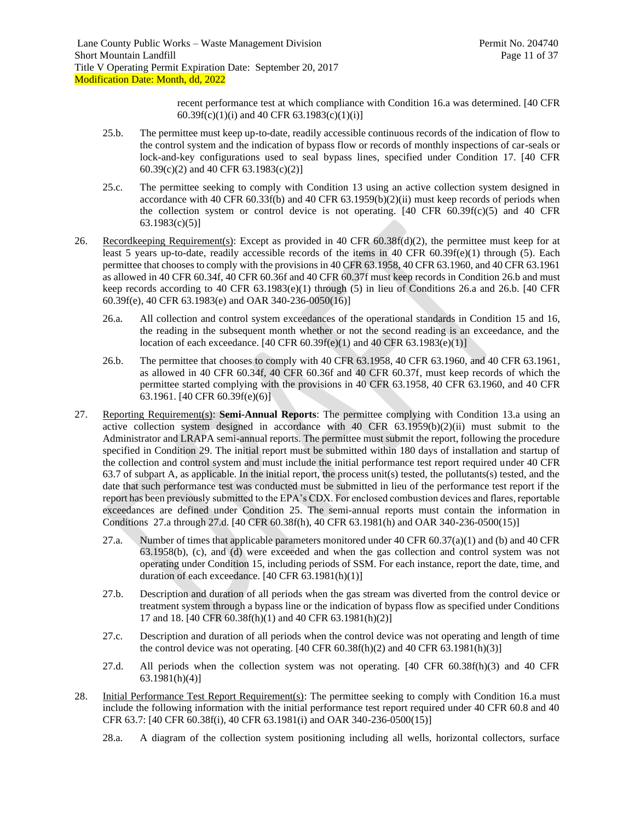recent performance test at which compliance with Condition [16.a](#page-7-0) was determined. [40 CFR 60.39f(c)(1)(i) and 40 CFR 63.1983(c)(1)(i)]

- 25.b. The permittee must keep up-to-date, readily accessible continuous records of the indication of flow to the control system and the indication of bypass flow or records of monthly inspections of car-seals or lock-and-key configurations used to seal bypass lines, specified under Condition [17.](#page-7-2) [40 CFR 60.39(c)(2) and 40 CFR 63.1983(c)(2)]
- 25.c. The permittee seeking to comply with Condition [13](#page-6-3) using an active collection system designed in accordance with 40 CFR 60.33f(b) and 40 CFR 63.1959(b)(2)(ii) must keep records of periods when the collection system or control device is not operating.  $[40 \text{ CFR } 60.39f(c)(5)$  and  $40 \text{ CFR }$ 63.1983(c)(5)]
- <span id="page-10-4"></span><span id="page-10-0"></span>26. Recordkeeping Requirement(s): Except as provided in 40 CFR 60.38f(d)(2), the permittee must keep for at least 5 years up-to-date, readily accessible records of the items in 40 CFR  $60.39f(e)(1)$  through (5). Each permittee that chooses to comply with the provisions in 40 CFR 63.1958, 40 CFR 63.1960, and 40 CFR 63.1961 as allowed in 40 CFR 60.34f, 40 CFR 60.36f and 40 CFR 60.37f must keep records in Condition [26.b](#page-10-3) and must keep records according to 40 CFR 63.1983(e)(1) through (5) in lieu of Conditions [26.a](#page-10-4) and [26.b.](#page-10-3) [40 CFR 60.39f(e), 40 CFR 63.1983(e) and OAR 340-236-0050(16)]
	- 26.a. All collection and control system exceedances of the operational standards in Condition [15](#page-7-5) and [16,](#page-7-4) the reading in the subsequent month whether or not the second reading is an exceedance, and the location of each exceedance. [40 CFR 60.39f(e)(1) and 40 CFR 63.1983(e)(1)]
	- 26.b. The permittee that chooses to comply with 40 CFR 63.1958, 40 CFR 63.1960, and 40 CFR 63.1961, as allowed in 40 CFR 60.34f, 40 CFR 60.36f and 40 CFR 60.37f, must keep records of which the permittee started complying with the provisions in 40 CFR 63.1958, 40 CFR 63.1960, and 40 CFR 63.1961. [40 CFR 60.39f(e)(6)]
- <span id="page-10-5"></span><span id="page-10-3"></span><span id="page-10-1"></span>27. Reporting Requirement(s): **Semi-Annual Reports**: The permittee complying with Condition [13.a](#page-7-6) using an active collection system designed in accordance with 40 CFR 63.1959(b)(2)(ii) must submit to the Administrator and LRAPA semi-annual reports. The permittee must submit the report, following the procedure specified in Condition [29.](#page-11-0) The initial report must be submitted within 180 days of installation and startup of the collection and control system and must include the initial performance test report required under 40 CFR 63.7 of subpart A, as applicable. In the initial report, the process unit(s) tested, the pollutants(s) tested, and the date that such performance test was conducted must be submitted in lieu of the performance test report if the report has been previously submitted to the EPA's CDX. For enclosed combustion devices and flares, reportable exceedances are defined under Condition [25.](#page-9-2) The semi-annual reports must contain the information in Conditions [27.a](#page-10-5) through [27.d.](#page-10-6) [40 CFR 60.38f(h), 40 CFR 63.1981(h) and OAR 340-236-0500(15)]
	- 27.a. Number of times that applicable parameters monitored under 40 CFR 60.37(a)(1) and (b) and 40 CFR 63.1958(b), (c), and (d) were exceeded and when the gas collection and control system was not operating under Condition [15,](#page-7-5) including periods of SSM. For each instance, report the date, time, and duration of each exceedance. [40 CFR 63.1981(h)(1)]
	- 27.b. Description and duration of all periods when the gas stream was diverted from the control device or treatment system through a bypass line or the indication of bypass flow as specified under Conditions [17](#page-7-2) an[d 18.](#page-8-0) [40 CFR 60.38f(h)(1) and 40 CFR 63.1981(h)(2)]
	- 27.c. Description and duration of all periods when the control device was not operating and length of time the control device was not operating.  $[40 \text{ CFR } 60.38 \text{ ft})(2)$  and  $40 \text{ CFR } 63.1981 \text{ ft})(3)]$
	- 27.d. All periods when the collection system was not operating. [40 CFR 60.38f(h)(3) and 40 CFR 63.1981(h)(4)]
- <span id="page-10-6"></span><span id="page-10-2"></span>28. Initial Performance Test Report Requirement(s): The permittee seeking to comply with Condition [16.a](#page-7-0) must include the following information with the initial performance test report required under 40 CFR 60.8 and 40 CFR 63.7: [40 CFR 60.38f(i), 40 CFR 63.1981(i) and OAR 340-236-0500(15)]
	- 28.a. A diagram of the collection system positioning including all wells, horizontal collectors, surface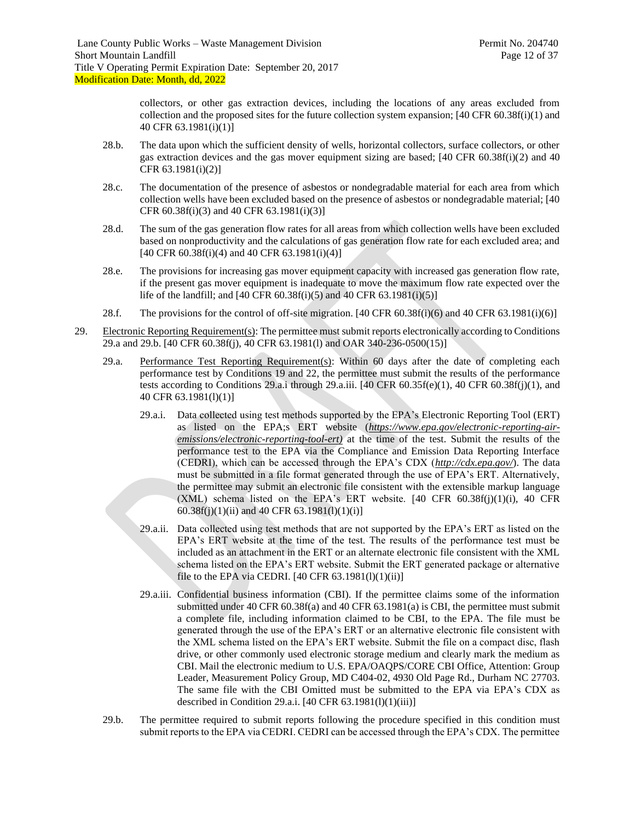collectors, or other gas extraction devices, including the locations of any areas excluded from collection and the proposed sites for the future collection system expansion;  $[40 \text{ CFR } 60.38\text{f(i)}(1)$  and 40 CFR 63.1981(i)(1)]

- 28.b. The data upon which the sufficient density of wells, horizontal collectors, surface collectors, or other gas extraction devices and the gas mover equipment sizing are based; [40 CFR 60.38f(i)(2) and 40 CFR 63.1981(i)(2)]
- 28.c. The documentation of the presence of asbestos or nondegradable material for each area from which collection wells have been excluded based on the presence of asbestos or nondegradable material; [40 CFR 60.38f(i)(3) and 40 CFR 63.1981(i)(3)]
- 28.d. The sum of the gas generation flow rates for all areas from which collection wells have been excluded based on nonproductivity and the calculations of gas generation flow rate for each excluded area; and [40 CFR 60.38f(i)(4) and 40 CFR 63.1981(i)(4)]
- 28.e. The provisions for increasing gas mover equipment capacity with increased gas generation flow rate, if the present gas mover equipment is inadequate to move the maximum flow rate expected over the life of the landfill; and  $[40 \text{ CFR } 60.38f(i)(5)$  and  $40 \text{ CFR } 63.1981(i)(5)]$
- 28.f. The provisions for the control of off-site migration. [40 CFR 60.38f(i)(6) and 40 CFR 63.1981(i)(6)]
- <span id="page-11-4"></span><span id="page-11-3"></span><span id="page-11-2"></span><span id="page-11-1"></span><span id="page-11-0"></span>29. Electronic Reporting Requirement(s): The permittee must submit reports electronically according to Conditions [29.a](#page-11-1) and [29.b.](#page-11-2) [40 CFR 60.38f(j), 40 CFR 63.1981(l) and OAR 340-236-0500(15)]
	- 29.a. Performance Test Reporting Requirement(s): Within 60 days after the date of completing each performance test by Conditions [19](#page-8-1) and [22,](#page-9-3) the permittee must submit the results of the performance tests according to Conditions [29.a.i](#page-11-3) through [29.a.iii.](#page-11-4) [40 CFR 60.35f(e)(1), 40 CFR 60.38f(j)(1), and 40 CFR 63.1981(l)(1)]
		- 29.a.i. Data collected using test methods supported by the EPA's Electronic Reporting Tool (ERT) as listed on the EPA;s ERT website (*[https://www.epa.gov/electronic-reporting-air](https://www.epa.gov/electronic-reporting-air-emissions/electronic-reporting-tool-ert))[emissions/electronic-reporting-tool-ert\)](https://www.epa.gov/electronic-reporting-air-emissions/electronic-reporting-tool-ert))* at the time of the test. Submit the results of the performance test to the EPA via the Compliance and Emission Data Reporting Interface (CEDRI), which can be accessed through the EPA's CDX (*<http://cdx.epa.gov/>*). The data must be submitted in a file format generated through the use of EPA's ERT. Alternatively, the permittee may submit an electronic file consistent with the extensible markup language (XML) schema listed on the EPA's ERT website.  $[40 \text{ CFR } 60.38\text{f}(i)(1)(i), 40 \text{ CFR }$  $60.38f(i)(1)(ii)$  and 40 CFR  $63.1981(l)(1)(i)$ ]
		- 29.a.ii. Data collected using test methods that are not supported by the EPA's ERT as listed on the EPA's ERT website at the time of the test. The results of the performance test must be included as an attachment in the ERT or an alternate electronic file consistent with the XML schema listed on the EPA's ERT website. Submit the ERT generated package or alternative file to the EPA via CEDRI.  $[40 \text{ CFR } 63.1981(l)(1)(ii)]$
		- 29.a.iii. Confidential business information (CBI). If the permittee claims some of the information submitted under 40 CFR  $60.38f(a)$  and 40 CFR  $63.1981(a)$  is CBI, the permittee must submit a complete file, including information claimed to be CBI, to the EPA. The file must be generated through the use of the EPA's ERT or an alternative electronic file consistent with the XML schema listed on the EPA's ERT website. Submit the file on a compact disc, flash drive, or other commonly used electronic storage medium and clearly mark the medium as CBI. Mail the electronic medium to U.S. EPA/OAQPS/CORE CBI Office, Attention: Group Leader, Measurement Policy Group, MD C404-02, 4930 Old Page Rd., Durham NC 27703. The same file with the CBI Omitted must be submitted to the EPA via EPA's CDX as described in Conditio[n 29.a.i.](#page-11-3) [40 CFR 63.1981(l)(1)(iii)]
	- 29.b. The permittee required to submit reports following the procedure specified in this condition must submit reports to the EPA via CEDRI. CEDRI can be accessed through the EPA's CDX. The permittee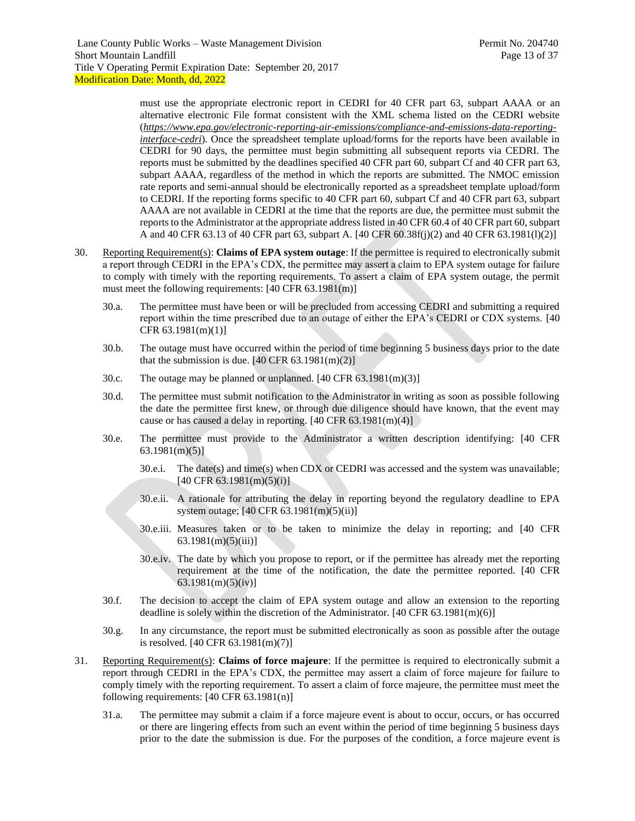must use the appropriate electronic report in CEDRI for 40 CFR part 63, subpart AAAA or an alternative electronic File format consistent with the XML schema listed on the CEDRI website (*[https://www.epa.gov/electronic-reporting-air-emissions/compliance-and-emissions-data-reporting](https://www.epa.gov/electronic-reporting-air-emissions/compliance-and-emissions-data-reporting-interface-cedri)[interface-cedri](https://www.epa.gov/electronic-reporting-air-emissions/compliance-and-emissions-data-reporting-interface-cedri)*). Once the spreadsheet template upload/forms for the reports have been available in CEDRI for 90 days, the permittee must begin submitting all subsequent reports via CEDRI. The reports must be submitted by the deadlines specified 40 CFR part 60, subpart Cf and 40 CFR part 63, subpart AAAA, regardless of the method in which the reports are submitted. The NMOC emission rate reports and semi-annual should be electronically reported as a spreadsheet template upload/form to CEDRI. If the reporting forms specific to 40 CFR part 60, subpart Cf and 40 CFR part 63, subpart AAAA are not available in CEDRI at the time that the reports are due, the permittee must submit the reports to the Administrator at the appropriate address listed in 40 CFR 60.4 of 40 CFR part 60, subpart A and 40 CFR 63.13 of 40 CFR part 63, subpart A. [40 CFR 60.38f(j)(2) and 40 CFR 63.1981(l)(2)]

- 30. Reporting Requirement(s): **Claims of EPA system outage**: If the permittee is required to electronically submit a report through CEDRI in the EPA's CDX, the permittee may assert a claim to EPA system outage for failure to comply with timely with the reporting requirements. To assert a claim of EPA system outage, the permit must meet the following requirements: [40 CFR 63.1981(m)]
	- 30.a. The permittee must have been or will be precluded from accessing CEDRI and submitting a required report within the time prescribed due to an outage of either the EPA's CEDRI or CDX systems. [40 CFR 63.1981(m)(1)]
	- 30.b. The outage must have occurred within the period of time beginning 5 business days prior to the date that the submission is due.  $[40 \text{ CFR } 63.1981 \text{ (m)}(2)]$
	- 30.c. The outage may be planned or unplanned. [40 CFR 63.1981(m)(3)]
	- 30.d. The permittee must submit notification to the Administrator in writing as soon as possible following the date the permittee first knew, or through due diligence should have known, that the event may cause or has caused a delay in reporting. [40 CFR 63.1981(m)(4)]
	- 30.e. The permittee must provide to the Administrator a written description identifying: [40 CFR 63.1981(m)(5)]
		- 30.e.i. The date(s) and time(s) when CDX or CEDRI was accessed and the system was unavailable;  $[40 \text{ CFR } 63.1981 \text{ (m)}(5)(i)]$
		- 30.e.ii. A rationale for attributing the delay in reporting beyond the regulatory deadline to EPA system outage; [40 CFR 63.1981(m)(5)(ii)]
		- 30.e.iii. Measures taken or to be taken to minimize the delay in reporting; and [40 CFR  $63.1981(m)(5)(iii)$ ]
		- 30.e.iv. The date by which you propose to report, or if the permittee has already met the reporting requirement at the time of the notification, the date the permittee reported. [40 CFR 63.1981(m)(5)(iv)]
	- 30.f. The decision to accept the claim of EPA system outage and allow an extension to the reporting deadline is solely within the discretion of the Administrator. [40 CFR 63.1981(m)(6)]
	- 30.g. In any circumstance, the report must be submitted electronically as soon as possible after the outage is resolved. [40 CFR 63.1981(m)(7)]
- <span id="page-12-0"></span>31. Reporting Requirement(s): **Claims of force majeure**: If the permittee is required to electronically submit a report through CEDRI in the EPA's CDX, the permittee may assert a claim of force majeure for failure to comply timely with the reporting requirement. To assert a claim of force majeure, the permittee must meet the following requirements: [40 CFR 63.1981(n)]
	- 31.a. The permittee may submit a claim if a force majeure event is about to occur, occurs, or has occurred or there are lingering effects from such an event within the period of time beginning 5 business days prior to the date the submission is due. For the purposes of the condition, a force majeure event is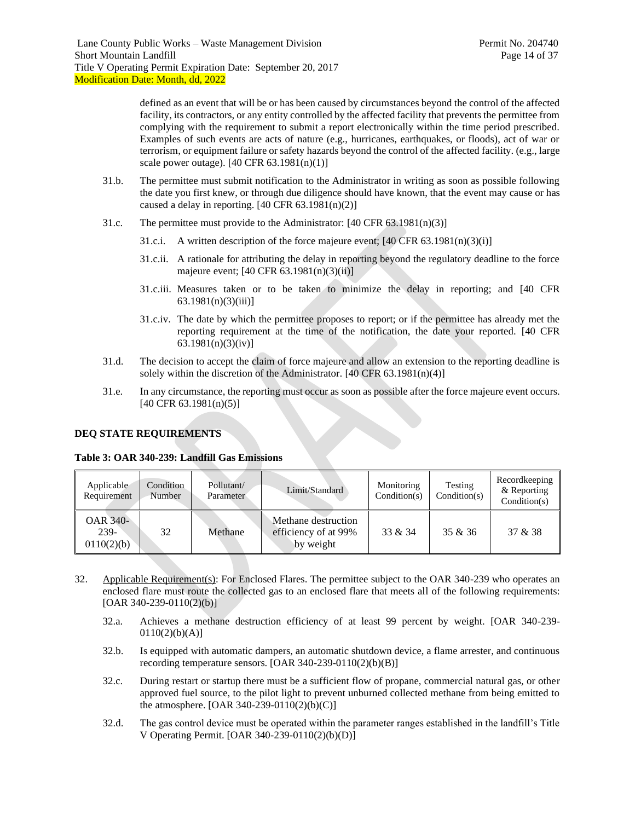defined as an event that will be or has been caused by circumstances beyond the control of the affected facility, its contractors, or any entity controlled by the affected facility that prevents the permittee from complying with the requirement to submit a report electronically within the time period prescribed. Examples of such events are acts of nature (e.g., hurricanes, earthquakes, or floods), act of war or terrorism, or equipment failure or safety hazards beyond the control of the affected facility. (e.g., large scale power outage).  $[40 \text{ CFR } 63.1981(n)(1)]$ 

- 31.b. The permittee must submit notification to the Administrator in writing as soon as possible following the date you first knew, or through due diligence should have known, that the event may cause or has caused a delay in reporting.  $[40 \text{ CFR } 63.1981(n)(2)]$
- 31.c. The permittee must provide to the Administrator: [40 CFR 63.1981(n)(3)]
	- 31.c.i. A written description of the force majeure event; [40 CFR 63.1981(n)(3)(i)]
	- 31.c.ii. A rationale for attributing the delay in reporting beyond the regulatory deadline to the force majeure event; [40 CFR 63.1981(n)(3)(ii)]
	- 31.c.iii. Measures taken or to be taken to minimize the delay in reporting; and [40 CFR  $63.1981(n)(3)(iii)$ ]
	- 31.c.iv. The date by which the permittee proposes to report; or if the permittee has already met the reporting requirement at the time of the notification, the date your reported. [40 CFR 63.1981(n)(3)(iv)]
- 31.d. The decision to accept the claim of force majeure and allow an extension to the reporting deadline is solely within the discretion of the Administrator.  $[40 \text{ CFR } 63.1981(n)(4)]$
- 31.e. In any circumstance, the reporting must occur as soon as possible after the force majeure event occurs. [40 CFR 63.1981(n)(5)]

## **DEQ STATE REQUIREMENTS**

#### **Table 3: OAR 340-239: Landfill Gas Emissions**

| Applicable<br>Requirement             | Condition<br>Number | Pollutant/<br>Parameter | Limit/Standard                                           | Monitoring<br>Condition(s) | Testing<br>Condition(s) | Recordkeeping<br>& Reporting<br>Condition(s) |
|---------------------------------------|---------------------|-------------------------|----------------------------------------------------------|----------------------------|-------------------------|----------------------------------------------|
| <b>OAR 340-</b><br>239-<br>0110(2)(b) | 32                  | Methane                 | Methane destruction<br>efficiency of at 99%<br>by weight | 33 & 34                    | 35 & 36                 | 37 & 38                                      |

- <span id="page-13-1"></span><span id="page-13-0"></span>32. Applicable Requirement(s): For Enclosed Flares. The permittee subject to the OAR 340-239 who operates an enclosed flare must route the collected gas to an enclosed flare that meets all of the following requirements:  $[OAR 340-239-0110(2)(b)]$ 
	- 32.a. Achieves a methane destruction efficiency of at least 99 percent by weight. [OAR 340-239-  $0110(2)(b)(A)$ ]
	- 32.b. Is equipped with automatic dampers, an automatic shutdown device, a flame arrester, and continuous recording temperature sensors.  $[OAR 340-239-0110(2)(b)(B)]$
	- 32.c. During restart or startup there must be a sufficient flow of propane, commercial natural gas, or other approved fuel source, to the pilot light to prevent unburned collected methane from being emitted to the atmosphere. [OAR 340-239-0110(2)(b)(C)]
	- 32.d. The gas control device must be operated within the parameter ranges established in the landfill's Title V Operating Permit. [OAR 340-239-0110(2)(b)(D)]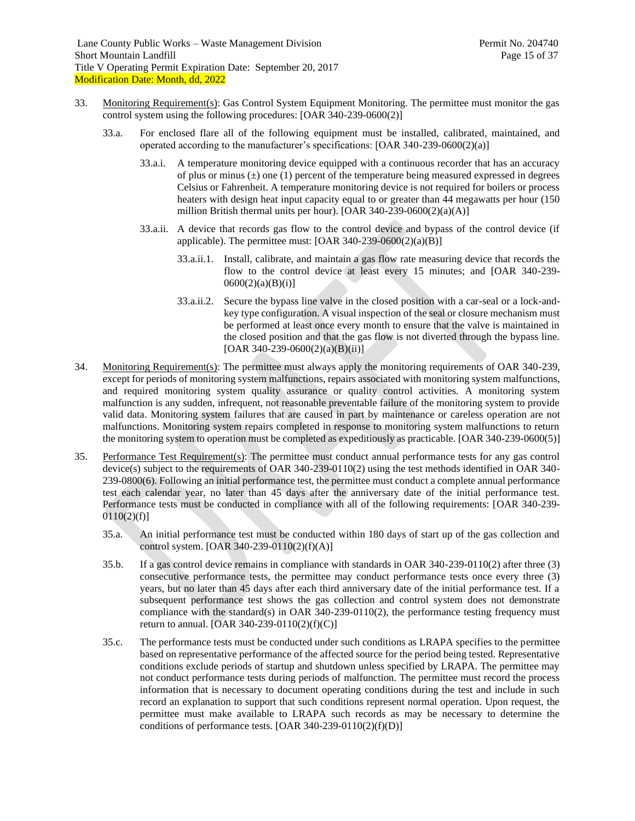- <span id="page-14-3"></span><span id="page-14-0"></span>33. Monitoring Requirement(s): Gas Control System Equipment Monitoring. The permittee must monitor the gas control system using the following procedures: [OAR 340-239-0600(2)]
	- 33.a. For enclosed flare all of the following equipment must be installed, calibrated, maintained, and operated according to the manufacturer's specifications:  $[OAR 340-239-0600(2)(a)]$ 
		- 33.a.i. A temperature monitoring device equipped with a continuous recorder that has an accuracy of plus or minus  $(\pm)$  one (1) percent of the temperature being measured expressed in degrees Celsius or Fahrenheit. A temperature monitoring device is not required for boilers or process heaters with design heat input capacity equal to or greater than 44 megawatts per hour (150 million British thermal units per hour). [OAR 340-239-0600(2)(a)(A)]
		- 33.a.ii. A device that records gas flow to the control device and bypass of the control device (if applicable). The permittee must:  $[OAR 340-239-0600(2)(a)(B)]$ 
			- 33.a.ii.1. Install, calibrate, and maintain a gas flow rate measuring device that records the flow to the control device at least every 15 minutes; and [OAR 340-239-  $0600(2)(a)(B)(i)$ ]
			- 33.a.ii.2. Secure the bypass line valve in the closed position with a car-seal or a lock-andkey type configuration. A visual inspection of the seal or closure mechanism must be performed at least once every month to ensure that the valve is maintained in the closed position and that the gas flow is not diverted through the bypass line.  $[OAR 340-239-0600(2)(a)(B)(ii)]$
- <span id="page-14-1"></span>34. Monitoring Requirement(s): The permittee must always apply the monitoring requirements of OAR 340-239, except for periods of monitoring system malfunctions, repairs associated with monitoring system malfunctions, and required monitoring system quality assurance or quality control activities. A monitoring system malfunction is any sudden, infrequent, not reasonable preventable failure of the monitoring system to provide valid data. Monitoring system failures that are caused in part by maintenance or careless operation are not malfunctions. Monitoring system repairs completed in response to monitoring system malfunctions to return the monitoring system to operation must be completed as expeditiously as practicable. [OAR 340-239-0600(5)]
- <span id="page-14-4"></span><span id="page-14-2"></span>35. Performance Test Requirement(s): The permittee must conduct annual performance tests for any gas control device(s) subject to the requirements of OAR 340-239-0110(2) using the test methods identified in OAR 340- 239-0800(6). Following an initial performance test, the permittee must conduct a complete annual performance test each calendar year, no later than 45 days after the anniversary date of the initial performance test. Performance tests must be conducted in compliance with all of the following requirements: [OAR 340-239-  $0110(2)(f)$ ]
	- 35.a. An initial performance test must be conducted within 180 days of start up of the gas collection and control system. [OAR 340-239-0110(2)(f)(A)]
	- 35.b. If a gas control device remains in compliance with standards in OAR 340-239-0110(2) after three (3) consecutive performance tests, the permittee may conduct performance tests once every three (3) years, but no later than 45 days after each third anniversary date of the initial performance test. If a subsequent performance test shows the gas collection and control system does not demonstrate compliance with the standard(s) in OAR 340-239-0110(2), the performance testing frequency must return to annual. [OAR 340-239-0110(2)(f)(C)]
	- 35.c. The performance tests must be conducted under such conditions as LRAPA specifies to the permittee based on representative performance of the affected source for the period being tested. Representative conditions exclude periods of startup and shutdown unless specified by LRAPA. The permittee may not conduct performance tests during periods of malfunction. The permittee must record the process information that is necessary to document operating conditions during the test and include in such record an explanation to support that such conditions represent normal operation. Upon request, the permittee must make available to LRAPA such records as may be necessary to determine the conditions of performance tests.  $[OAR 340-239-0110(2)(f)(D)]$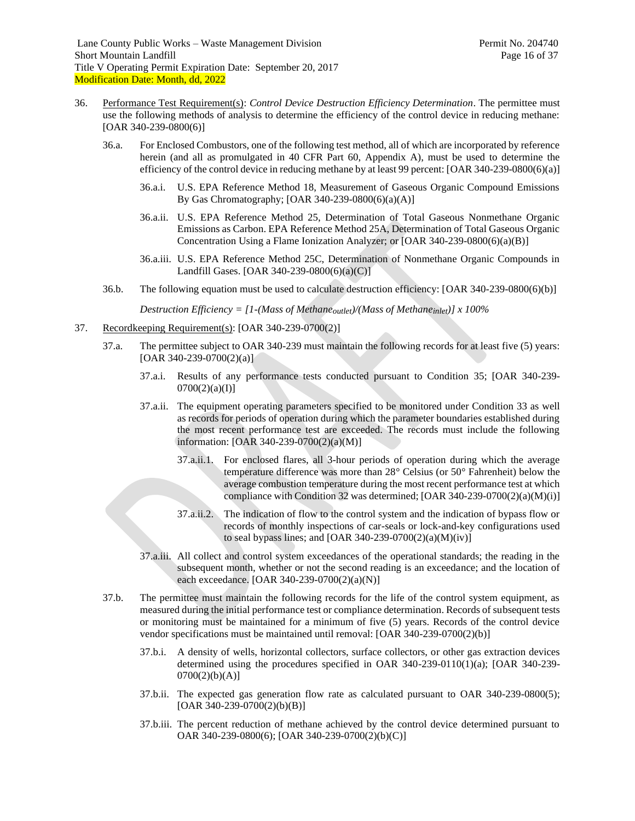- <span id="page-15-2"></span><span id="page-15-0"></span>36. Performance Test Requirement(s): *Control Device Destruction Efficiency Determination*. The permittee must use the following methods of analysis to determine the efficiency of the control device in reducing methane: [OAR 340-239-0800(6)]
	- 36.a. For Enclosed Combustors, one of the following test method, all of which are incorporated by reference herein (and all as promulgated in 40 CFR Part 60, Appendix A), must be used to determine the efficiency of the control device in reducing methane by at least 99 percent: [OAR 340-239-0800(6)(a)]
		- 36.a.i. U.S. EPA Reference Method 18, Measurement of Gaseous Organic Compound Emissions By Gas Chromatography; [OAR 340-239-0800(6)(a)(A)]
		- 36.a.ii. U.S. EPA Reference Method 25, Determination of Total Gaseous Nonmethane Organic Emissions as Carbon. EPA Reference Method 25A, Determination of Total Gaseous Organic Concentration Using a Flame Ionization Analyzer; or [OAR 340-239-0800(6)(a)(B)]
		- 36.a.iii. U.S. EPA Reference Method 25C, Determination of Nonmethane Organic Compounds in Landfill Gases. [OAR 340-239-0800(6)(a)(C)]
	- 36.b. The following equation must be used to calculate destruction efficiency: [OAR 340-239-0800(6)(b)]

*Destruction Efficiency = [1-(Mass of Methaneoutlet)/(Mass of Methaneinlet)] x 100%*

- <span id="page-15-1"></span>37. Recordkeeping Requirement(s): [OAR 340-239-0700(2)]
	- 37.a. The permittee subject to OAR 340-239 must maintain the following records for at least five (5) years:  $[OAR 340-239-0700(2)(a)]$ 
		- 37.a.i. Results of any performance tests conducted pursuant to Condition [35;](#page-14-2) [OAR 340-239-  $0700(2)(a)(I)$
		- 37.a.ii. The equipment operating parameters specified to be monitored under Condition [33](#page-14-0) as well as records for periods of operation during which the parameter boundaries established during the most recent performance test are exceeded. The records must include the following information: [OAR 340-239-0700(2)(a)(M)]
			- 37.a.ii.1. For enclosed flares, all 3-hour periods of operation during which the average temperature difference was more than 28° Celsius (or 50° Fahrenheit) below the average combustion temperature during the most recent performance test at which compliance with Conditio[n 32](#page-13-0) was determined; [OAR 340-239-0700(2)(a)(M)(i)]
			- 37.a.ii.2. The indication of flow to the control system and the indication of bypass flow or records of monthly inspections of car-seals or lock-and-key configurations used to seal bypass lines; and [OAR 340-239-0700(2)(a)(M)(iv)]
		- 37.a.iii. All collect and control system exceedances of the operational standards; the reading in the subsequent month, whether or not the second reading is an exceedance; and the location of each exceedance. [OAR 340-239-0700(2)(a)(N)]
	- 37.b. The permittee must maintain the following records for the life of the control system equipment, as measured during the initial performance test or compliance determination. Records of subsequent tests or monitoring must be maintained for a minimum of five (5) years. Records of the control device vendor specifications must be maintained until removal: [OAR 340-239-0700(2)(b)]
		- 37.b.i. A density of wells, horizontal collectors, surface collectors, or other gas extraction devices determined using the procedures specified in OAR 340-239-0110(1)(a); [OAR 340-239- $0700(2)(b)(A)$ ]
		- 37.b.ii. The expected gas generation flow rate as calculated pursuant to OAR 340-239-0800(5); [OAR 340-239-0700(2)(b)(B)]
		- 37.b.iii. The percent reduction of methane achieved by the control device determined pursuant to OAR 340-239-0800(6); [OAR 340-239-0700(2)(b)(C)]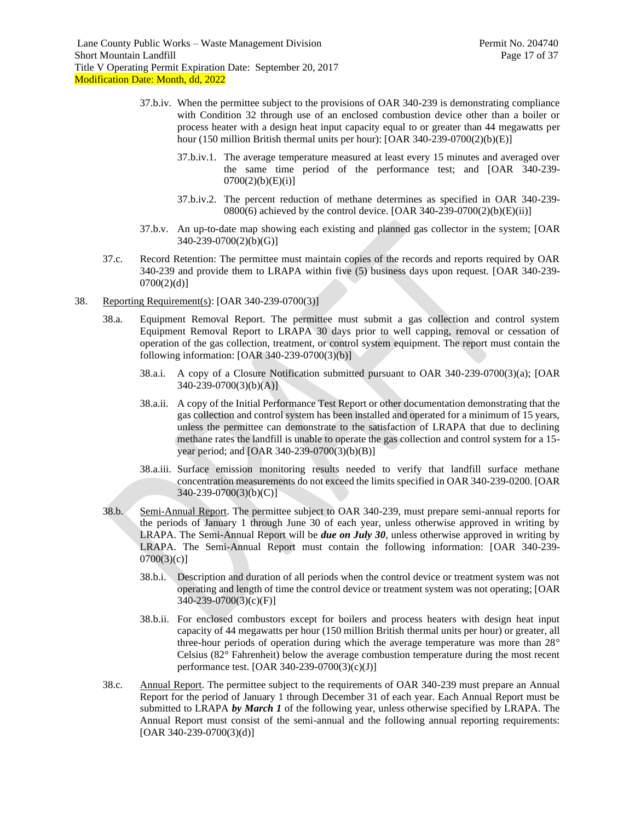- 37.b.iv. When the permittee subject to the provisions of OAR 340-239 is demonstrating compliance with Condition [32](#page-13-0) through use of an enclosed combustion device other than a boiler or process heater with a design heat input capacity equal to or greater than 44 megawatts per hour (150 million British thermal units per hour):  $[OAR 340-239-0700(2)(b)(E)]$ 
	- 37.b.iv.1. The average temperature measured at least every 15 minutes and averaged over the same time period of the performance test; and [OAR 340-239-  $0700(2)(b)(E)(i)$ ]
	- 37.b.iv.2. The percent reduction of methane determines as specified in OAR 340-239- 0800(6) achieved by the control device. [OAR 340-239-0700(2)(b)(E)(ii)]
- 37.b.v. An up-to-date map showing each existing and planned gas collector in the system; [OAR 340-239-0700(2)(b)(G)]
- 37.c. Record Retention: The permittee must maintain copies of the records and reports required by OAR 340-239 and provide them to LRAPA within five (5) business days upon request. [OAR 340-239-  $0700(2)(d)$ ]
- <span id="page-16-6"></span><span id="page-16-5"></span><span id="page-16-4"></span><span id="page-16-3"></span><span id="page-16-2"></span><span id="page-16-1"></span><span id="page-16-0"></span>38. Reporting Requirement(s): [OAR 340-239-0700(3)]
	- 38.a. Equipment Removal Report. The permittee must submit a gas collection and control system Equipment Removal Report to LRAPA 30 days prior to well capping, removal or cessation of operation of the gas collection, treatment, or control system equipment. The report must contain the following information: [OAR 340-239-0700(3)(b)]
		- 38.a.i. A copy of a Closure Notification submitted pursuant to OAR 340-239-0700(3)(a); [OAR  $340-239-0700(3)(b)(A)$
		- 38.a.ii. A copy of the Initial Performance Test Report or other documentation demonstrating that the gas collection and control system has been installed and operated for a minimum of 15 years, unless the permittee can demonstrate to the satisfaction of LRAPA that due to declining methane rates the landfill is unable to operate the gas collection and control system for a 15 year period; and [OAR 340-239-0700(3)(b)(B)]
		- 38.a.iii. Surface emission monitoring results needed to verify that landfill surface methane concentration measurements do not exceed the limits specified in OAR 340-239-0200. [OAR 340-239-0700(3)(b)(C)]
	- 38.b. Semi-Annual Report. The permittee subject to OAR 340-239, must prepare semi-annual reports for the periods of January 1 through June 30 of each year, unless otherwise approved in writing by LRAPA. The Semi-Annual Report will be *due on July 30*, unless otherwise approved in writing by LRAPA. The Semi-Annual Report must contain the following information: [OAR 340-239-  $0700(3)(c)$ ]
		- 38.b.i. Description and duration of all periods when the control device or treatment system was not operating and length of time the control device or treatment system was not operating; [OAR 340-239-0700(3)(c)(F)]
		- 38.b.ii. For enclosed combustors except for boilers and process heaters with design heat input capacity of 44 megawatts per hour (150 million British thermal units per hour) or greater, all three-hour periods of operation during which the average temperature was more than 28° Celsius (82° Fahrenheit) below the average combustion temperature during the most recent performance test. [OAR 340-239-0700(3)(c)(J)]
	- 38.c. Annual Report. The permittee subject to the requirements of OAR 340-239 must prepare an Annual Report for the period of January 1 through December 31 of each year. Each Annual Report must be submitted to LRAPA *by March 1* of the following year, unless otherwise specified by LRAPA. The Annual Report must consist of the semi-annual and the following annual reporting requirements:  $[OAR 340-239-0700(3)(d)]$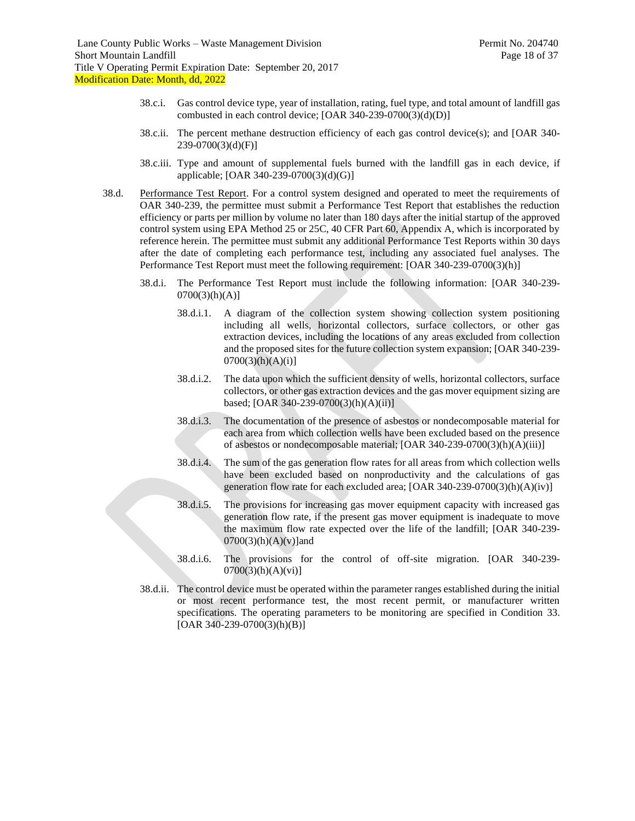- 38.c.i. Gas control device type, year of installation, rating, fuel type, and total amount of landfill gas combusted in each control device; [OAR 340-239-0700(3)(d)(D)]
- 38.c.ii. The percent methane destruction efficiency of each gas control device(s); and [OAR 340- 239-0700(3)(d)(F)]
- 38.c.iii. Type and amount of supplemental fuels burned with the landfill gas in each device, if applicable; [OAR 340-239-0700(3)(d)(G)]
- 38.d. Performance Test Report. For a control system designed and operated to meet the requirements of OAR 340-239, the permittee must submit a Performance Test Report that establishes the reduction efficiency or parts per million by volume no later than 180 days after the initial startup of the approved control system using EPA Method 25 or 25C, 40 CFR Part 60, Appendix A, which is incorporated by reference herein. The permittee must submit any additional Performance Test Reports within 30 days after the date of completing each performance test, including any associated fuel analyses. The Performance Test Report must meet the following requirement: [OAR 340-239-0700(3)(h)]
	- 38.d.i. The Performance Test Report must include the following information: [OAR 340-239-  $0700(3)(h)(A)$ ]
		- 38.d.i.1. A diagram of the collection system showing collection system positioning including all wells, horizontal collectors, surface collectors, or other gas extraction devices, including the locations of any areas excluded from collection and the proposed sites for the future collection system expansion; [OAR 340-239-  $0700(3)(h)(A)(i)$ ]
		- 38.d.i.2. The data upon which the sufficient density of wells, horizontal collectors, surface collectors, or other gas extraction devices and the gas mover equipment sizing are based; [OAR 340-239-0700(3)(h)(A)(ii)]
		- 38.d.i.3. The documentation of the presence of asbestos or nondecomposable material for each area from which collection wells have been excluded based on the presence of asbestos or nondecomposable material; [OAR 340-239-0700(3)(h)(A)(iii)]
		- 38.d.i.4. The sum of the gas generation flow rates for all areas from which collection wells have been excluded based on nonproductivity and the calculations of gas generation flow rate for each excluded area; [OAR 340-239-0700(3)(h)(A)(iv)]
		- 38.d.i.5. The provisions for increasing gas mover equipment capacity with increased gas generation flow rate, if the present gas mover equipment is inadequate to move the maximum flow rate expected over the life of the landfill; [OAR 340-239-  $0700(3)(h)(A)(v)$ ]and
		- 38.d.i.6. The provisions for the control of off-site migration. [OAR 340-239-  $0700(3)(h)(A)(vi)$ ]
	- 38.d.ii. The control device must be operated within the parameter ranges established during the initial or most recent performance test, the most recent permit, or manufacturer written specifications. The operating parameters to be monitoring are specified in Condition [33.](#page-14-0)  $[OAR 340-239-0700(3)(h)(B)]$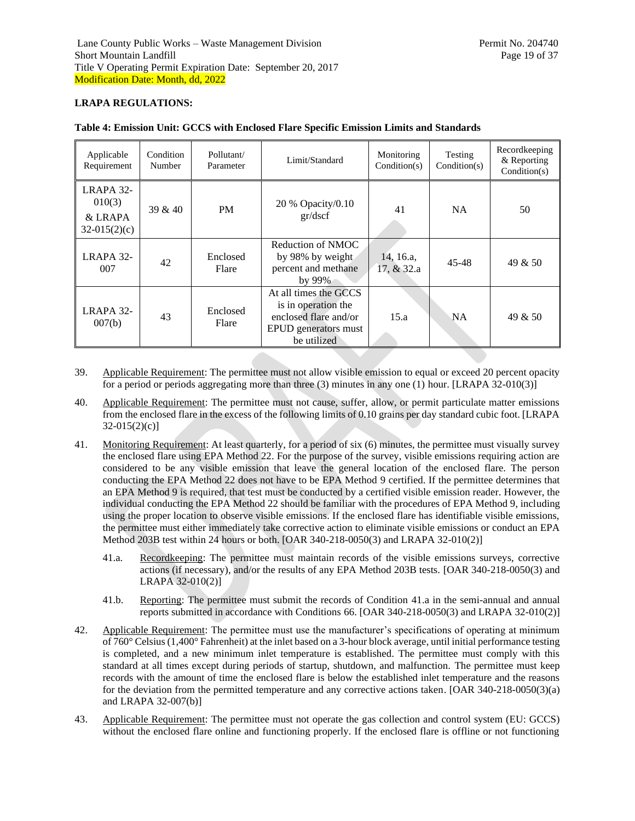## **LRAPA REGULATIONS:**

| Applicable<br>Requirement                        | Condition<br>Number | Pollutant/<br>Parameter | Limit/Standard                                                                                               | Monitoring<br>Condition(s) | Testing<br>Condition(s) | Recordkeeping<br>& Reporting<br>Condition(s) |
|--------------------------------------------------|---------------------|-------------------------|--------------------------------------------------------------------------------------------------------------|----------------------------|-------------------------|----------------------------------------------|
| LRAPA 32-<br>010(3)<br>& LRAPA<br>$32-015(2)(c)$ | 39 & 40             | <b>PM</b>               | 20 % Opacity/0.10<br>gr/dscf                                                                                 | 41                         | <b>NA</b>               | 50                                           |
| LRAPA 32-<br>007                                 | 42                  | Enclosed<br>Flare       | Reduction of NMOC<br>by 98% by weight<br>percent and methane<br>by 99%                                       | 14, 16.a,<br>17, & 32.a    | $45 - 48$               | 49 & 50                                      |
| LRAPA 32-<br>007(b)                              | 43                  | Enclosed<br>Flare       | At all times the GCCS<br>is in operation the<br>enclosed flare and/or<br>EPUD generators must<br>be utilized | 15.a                       | <b>NA</b>               | 49 & 50                                      |

## **Table 4: Emission Unit: GCCS with Enclosed Flare Specific Emission Limits and Standards**

- <span id="page-18-0"></span>39. Applicable Requirement: The permittee must not allow visible emission to equal or exceed 20 percent opacity for a period or periods aggregating more than three (3) minutes in any one (1) hour. [LRAPA 32-010(3)]
- <span id="page-18-1"></span>40. Applicable Requirement: The permittee must not cause, suffer, allow, or permit particulate matter emissions from the enclosed flare in the excess of the following limits of 0.10 grains per day standard cubic foot. [LRAPA  $32-015(2)(c)$ ]
- <span id="page-18-2"></span>41. Monitoring Requirement: At least quarterly, for a period of six (6) minutes, the permittee must visually survey the enclosed flare using EPA Method 22. For the purpose of the survey, visible emissions requiring action are considered to be any visible emission that leave the general location of the enclosed flare. The person conducting the EPA Method 22 does not have to be EPA Method 9 certified. If the permittee determines that an EPA Method 9 is required, that test must be conducted by a certified visible emission reader. However, the individual conducting the EPA Method 22 should be familiar with the procedures of EPA Method 9, including using the proper location to observe visible emissions. If the enclosed flare has identifiable visible emissions, the permittee must either immediately take corrective action to eliminate visible emissions or conduct an EPA Method 203B test within 24 hours or both. [OAR 340-218-0050(3) and LRAPA 32-010(2)]
	- 41.a. Recordkeeping: The permittee must maintain records of the visible emissions surveys, corrective actions (if necessary), and/or the results of any EPA Method 203B tests. [OAR 340-218-0050(3) and LRAPA 32-010(2)]
	- 41.b. Reporting: The permittee must submit the records of Condition [41.a](#page-18-5) in the semi-annual and annual reports submitted in accordance with Conditions [66.](#page-27-0) [OAR 340-218-0050(3) and LRAPA 32-010(2)]
- <span id="page-18-5"></span><span id="page-18-3"></span>42. Applicable Requirement: The permittee must use the manufacturer's specifications of operating at minimum of 760° Celsius (1,400° Fahrenheit) at the inlet based on a 3-hour block average, until initial performance testing is completed, and a new minimum inlet temperature is established. The permittee must comply with this standard at all times except during periods of startup, shutdown, and malfunction. The permittee must keep records with the amount of time the enclosed flare is below the established inlet temperature and the reasons for the deviation from the permitted temperature and any corrective actions taken. [OAR 340-218-0050(3)(a) and LRAPA 32-007(b)]
- <span id="page-18-4"></span>43. Applicable Requirement: The permittee must not operate the gas collection and control system (EU: GCCS) without the enclosed flare online and functioning properly. If the enclosed flare is offline or not functioning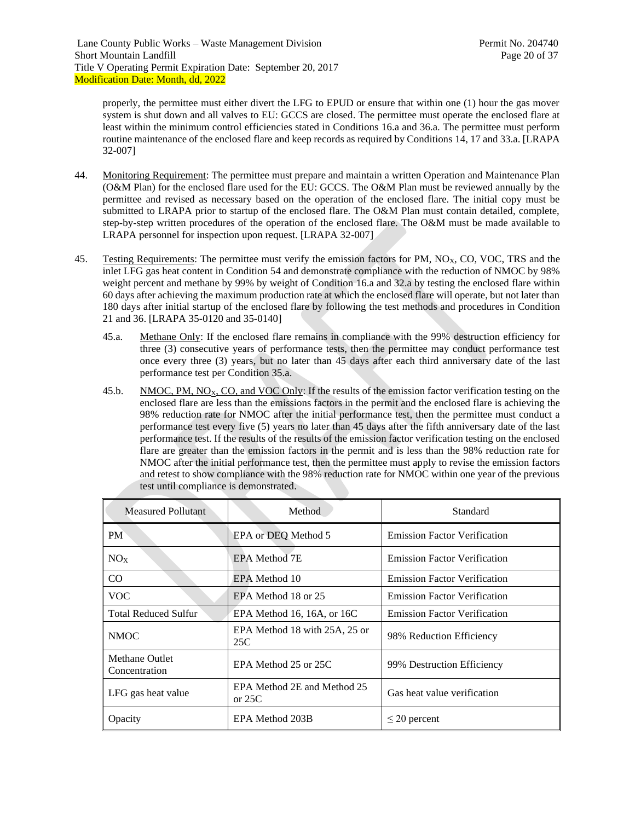properly, the permittee must either divert the LFG to EPUD or ensure that within one (1) hour the gas mover system is shut down and all valves to EU: GCCS are closed. The permittee must operate the enclosed flare at least within the minimum control efficiencies stated in Conditions [16.a](#page-7-0) an[d 36.a.](#page-15-2) The permittee must perform routine maintenance of the enclosed flare and keep records as required by Condition[s 14,](#page-7-1) [17](#page-7-2) an[d 33.a.](#page-14-3) [LRAPA 32-007]

- <span id="page-19-1"></span>44. Monitoring Requirement: The permittee must prepare and maintain a written Operation and Maintenance Plan (O&M Plan) for the enclosed flare used for the EU: GCCS. The O&M Plan must be reviewed annually by the permittee and revised as necessary based on the operation of the enclosed flare. The initial copy must be submitted to LRAPA prior to startup of the enclosed flare. The O&M Plan must contain detailed, complete, step-by-step written procedures of the operation of the enclosed flare. The O&M must be made available to LRAPA personnel for inspection upon request. [LRAPA 32-007]
- <span id="page-19-0"></span>45. Testing Requirements: The permittee must verify the emission factors for PM, NO<sub>X</sub>, CO, VOC, TRS and the inlet LFG gas heat content in Conditio[n 54](#page-23-0) and demonstrate compliance with the reduction of NMOC by 98% weight percent and methane by 99% by weight of Condition [16.a](#page-7-0) and [32.a](#page-13-1) by testing the enclosed flare within 60 days after achieving the maximum production rate at which the enclosed flare will operate, but not later than 180 days after initial startup of the enclosed flare by following the test methods and procedures in Condition [21](#page-8-3) an[d 36.](#page-15-0) [LRAPA 35-0120 and 35-0140]
	- 45.a. Methane Only: If the enclosed flare remains in compliance with the 99% destruction efficiency for three (3) consecutive years of performance tests, then the permittee may conduct performance test once every three (3) years, but no later than 45 days after each third anniversary date of the last performance test per Condition [35.a.](#page-14-4)
	- 45.b. NMOC, PM, NO<sub>X</sub>, CO, and VOC Only: If the results of the emission factor verification testing on the enclosed flare are less than the emissions factors in the permit and the enclosed flare is achieving the 98% reduction rate for NMOC after the initial performance test, then the permittee must conduct a performance test every five (5) years no later than 45 days after the fifth anniversary date of the last performance test. If the results of the results of the emission factor verification testing on the enclosed flare are greater than the emission factors in the permit and is less than the 98% reduction rate for NMOC after the initial performance test, then the permittee must apply to revise the emission factors and retest to show compliance with the 98% reduction rate for NMOC within one year of the previous test until compliance is demonstrated.

| <b>Measured Pollutant</b>       | Method                                  | Standard                            |
|---------------------------------|-----------------------------------------|-------------------------------------|
| PM                              | EPA or DEQ Method 5                     | <b>Emission Factor Verification</b> |
| NO <sub>X</sub>                 | EPA Method 7E                           | <b>Emission Factor Verification</b> |
| CO                              | EPA Method 10                           | <b>Emission Factor Verification</b> |
| <b>VOC</b>                      | EPA Method 18 or 25                     | <b>Emission Factor Verification</b> |
| <b>Total Reduced Sulfur</b>     | EPA Method 16, 16A, or $16C$            | <b>Emission Factor Verification</b> |
| NMOC                            | EPA Method 18 with 25A, 25 or<br>25C    | 98% Reduction Efficiency            |
| Methane Outlet<br>Concentration | EPA Method 25 or 25C                    | 99% Destruction Efficiency          |
| LFG gas heat value              | EPA Method 2E and Method 25<br>or $25C$ | Gas heat value verification         |
| Opacity                         | EPA Method 203B                         | $\leq$ 20 percent                   |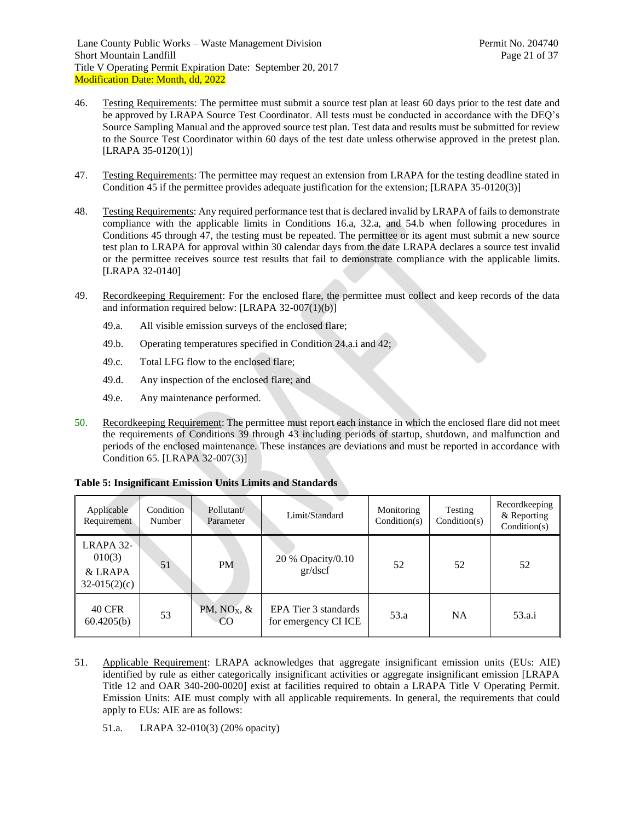- 46. Testing Requirements: The permittee must submit a source test plan at least 60 days prior to the test date and be approved by LRAPA Source Test Coordinator. All tests must be conducted in accordance with the DEQ's Source Sampling Manual and the approved source test plan. Test data and results must be submitted for review to the Source Test Coordinator within 60 days of the test date unless otherwise approved in the pretest plan. [LRAPA 35-0120(1)]
- <span id="page-20-3"></span>47. Testing Requirements: The permittee may request an extension from LRAPA for the testing deadline stated in Conditio[n 45](#page-19-0) if the permittee provides adequate justification for the extension; [LRAPA 35-0120(3)]
- <span id="page-20-1"></span>48. Testing Requirements: Any required performance test that is declared invalid by LRAPA of fails to demonstrate compliance with the applicable limits in Conditions [16.a,](#page-7-0) [32.a,](#page-13-1) and [54.b](#page-24-0) when following procedures in Conditions [45](#page-19-0) through [47,](#page-20-3) the testing must be repeated. The permittee or its agent must submit a new source test plan to LRAPA for approval within 30 calendar days from the date LRAPA declares a source test invalid or the permittee receives source test results that fail to demonstrate compliance with the applicable limits. [LRAPA 32-0140]
- <span id="page-20-2"></span>49. Recordkeeping Requirement: For the enclosed flare, the permittee must collect and keep records of the data and information required below: [LRAPA 32-007(1)(b)]
	- 49.a. All visible emission surveys of the enclosed flare;
	- 49.b. Operating temperatures specified in Condition [24.a.i](#page-9-6) an[d 42;](#page-18-3)
	- 49.c. Total LFG flow to the enclosed flare;
	- 49.d. Any inspection of the enclosed flare; and
	- 49.e. Any maintenance performed.
- <span id="page-20-0"></span>50. Recordkeeping Requirement: The permittee must report each instance in which the enclosed flare did not meet the requirements of Conditions [39](#page-18-0) through [43](#page-18-4) including periods of startup, shutdown, and malfunction and periods of the enclosed maintenance. These instances are deviations and must be reported in accordance with Conditio[n 65.](#page-26-0) [LRAPA 32-007(3)]

| Applicable<br>Requirement                        | Condition<br>Number | Pollutant/<br>Parameter | Limit/Standard                               | Monitoring<br>Condition(s) | Testing<br>Condition(s) | Recordkeeping<br>& Reporting<br>Condition(s) |
|--------------------------------------------------|---------------------|-------------------------|----------------------------------------------|----------------------------|-------------------------|----------------------------------------------|
| LRAPA 32-<br>010(3)<br>& LRAPA<br>$32-015(2)(c)$ | 51                  | <b>PM</b>               | 20 % Opacity/0.10<br>gr/dscf                 | 52                         | 52                      | 52                                           |
| <b>40 CFR</b><br>60.4205(b)                      | 53                  | PM, $NOX$ , $\&$<br>CO  | EPA Tier 3 standards<br>for emergency CI ICE | 53.a                       | <b>NA</b>               | 53.a.i                                       |

#### **Table 5: Insignificant Emission Units Limits and Standards**

- <span id="page-20-4"></span>51. Applicable Requirement: LRAPA acknowledges that aggregate insignificant emission units (EUs: AIE) identified by rule as either categorically insignificant activities or aggregate insignificant emission [LRAPA Title 12 and OAR 340-200-0020] exist at facilities required to obtain a LRAPA Title V Operating Permit. Emission Units: AIE must comply with all applicable requirements. In general, the requirements that could apply to EUs: AIE are as follows:
	- 51.a. LRAPA 32-010(3) (20% opacity)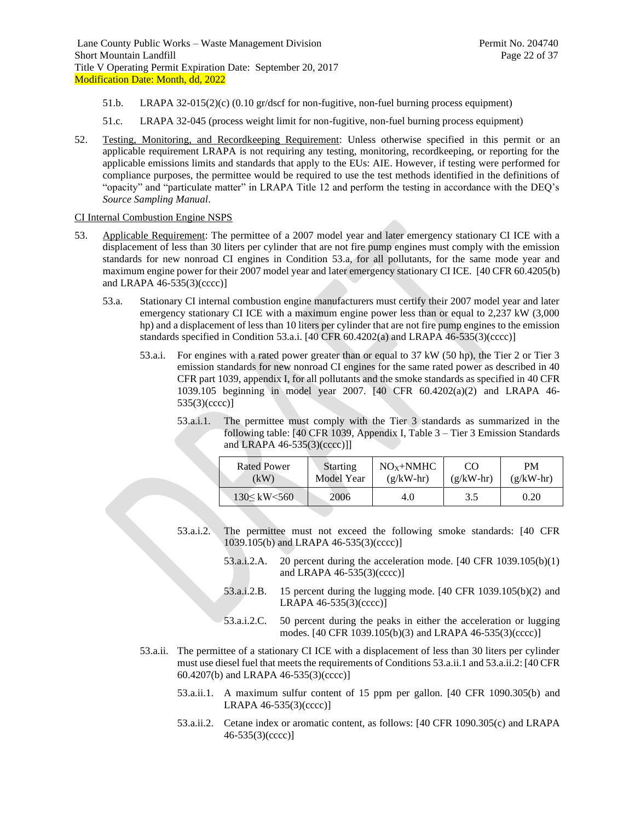- 51.b. LRAPA 32-015(2)(c) (0.10 gr/dscf for non-fugitive, non-fuel burning process equipment)
- 51.c. LRAPA 32-045 (process weight limit for non-fugitive, non-fuel burning process equipment)
- <span id="page-21-0"></span>52. Testing, Monitoring, and Recordkeeping Requirement: Unless otherwise specified in this permit or an applicable requirement LRAPA is not requiring any testing, monitoring, recordkeeping, or reporting for the applicable emissions limits and standards that apply to the EUs: AIE. However, if testing were performed for compliance purposes, the permittee would be required to use the test methods identified in the definitions of "opacity" and "particulate matter" in LRAPA Title 12 and perform the testing in accordance with the DEQ's *Source Sampling Manual*.

#### CI Internal Combustion Engine NSPS

- <span id="page-21-3"></span><span id="page-21-2"></span><span id="page-21-1"></span>53. Applicable Requirement: The permittee of a 2007 model year and later emergency stationary CI ICE with a displacement of less than 30 liters per cylinder that are not fire pump engines must comply with the emission standards for new nonroad CI engines in Condition [53.a,](#page-21-2) for all pollutants, for the same mode year and maximum engine power for their 2007 model year and later emergency stationary CI ICE. [40 CFR 60.4205(b) and LRAPA 46-535(3)(cccc)]
	- 53.a. Stationary CI internal combustion engine manufacturers must certify their 2007 model year and later emergency stationary CI ICE with a maximum engine power less than or equal to 2,237 kW (3,000 hp) and a displacement of less than 10 liters per cylinder that are not fire pump engines to the emission standards specified in Conditio[n 53.a.i.](#page-21-3)  $[40 \text{ CFR } 60.4202(a)$  and LRAPA  $46-535(3)(\text{cccc})]$ 
		- 53.a.i. For engines with a rated power greater than or equal to 37 kW (50 hp), the Tier 2 or Tier 3 emission standards for new nonroad CI engines for the same rated power as described in 40 CFR part 1039, appendix I, for all pollutants and the smoke standards as specified in 40 CFR 1039.105 beginning in model year 2007. [40 CFR 60.4202(a)(2) and LRAPA 46- 535(3)(cccc)]
			- 53.a.i.1. The permittee must comply with the Tier 3 standards as summarized in the following table: [40 CFR 1039, Appendix I, Table 3 – Tier 3 Emission Standards and LRAPA 46-535(3)(cccc)]]

| Rated Power              | Starting   | $NOx+NMHC$  | CO          | PM          |
|--------------------------|------------|-------------|-------------|-------------|
| (kW)                     | Model Year | $(g/kW-hr)$ | $(g/kW-hr)$ | $(g/kW-hr)$ |
| $130 \leq$ kW $\leq 560$ | 2006       | 4.0         | 3.5         | 0.20        |

- 53.a.i.2. The permittee must not exceed the following smoke standards: [40 CFR 1039.105(b) and LRAPA 46-535(3)(cccc)]
	- 53.a.i.2.A. 20 percent during the acceleration mode. [40 CFR 1039.105(b)(1) and LRAPA 46-535(3)(cccc)]
	- 53.a.i.2.B. 15 percent during the lugging mode. [40 CFR 1039.105(b)(2) and LRAPA 46-535(3)(cccc)]
	- 53.a.i.2.C. 50 percent during the peaks in either the acceleration or lugging modes. [40 CFR 1039.105(b)(3) and LRAPA 46-535(3)(cccc)]
- <span id="page-21-5"></span><span id="page-21-4"></span>53.a.ii. The permittee of a stationary CI ICE with a displacement of less than 30 liters per cylinder must use diesel fuel that meets the requirements of Condition[s 53.a.ii.1](#page-21-4) an[d 53.a.ii.2:](#page-21-5) [40 CFR 60.4207(b) and LRAPA 46-535(3)(cccc)]
	- 53.a.ii.1. A maximum sulfur content of 15 ppm per gallon. [40 CFR 1090.305(b) and LRAPA 46-535(3)(cccc)]
	- 53.a.ii.2. Cetane index or aromatic content, as follows: [40 CFR 1090.305(c) and LRAPA 46-535(3)(cccc)]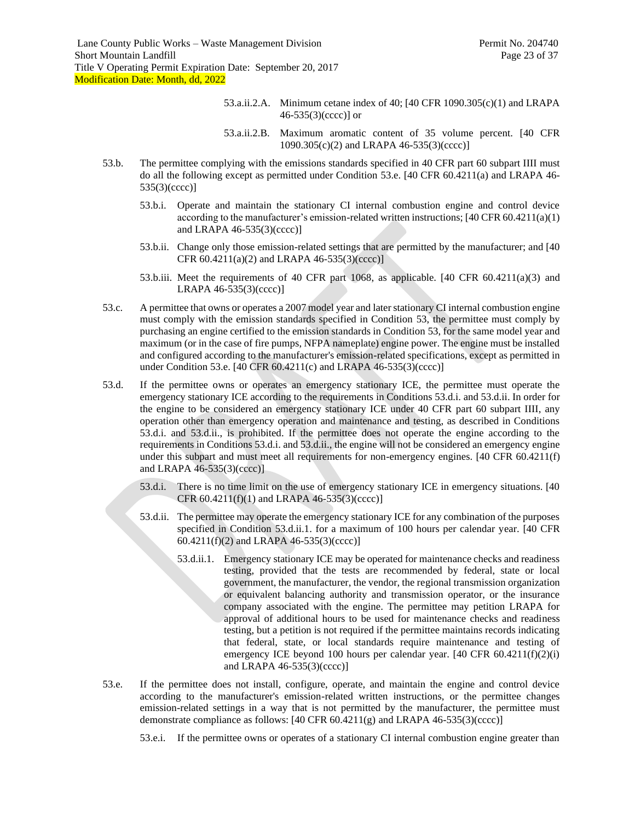- 53.a.ii.2.A. Minimum cetane index of 40; [40 CFR 1090.305(c)(1) and LRAPA 46-535(3)(cccc)] or
- 53.a.ii.2.B. Maximum aromatic content of 35 volume percent. [40 CFR 1090.305(c)(2) and LRAPA 46-535(3)(cccc)]
- 53.b. The permittee complying with the emissions standards specified in 40 CFR part 60 subpart IIII must do all the following except as permitted under Condition [53.e.](#page-22-0) [40 CFR 60.4211(a) and LRAPA 46- 535(3)(cccc)]
	- 53.b.i. Operate and maintain the stationary CI internal combustion engine and control device according to the manufacturer's emission-related written instructions; [40 CFR 60.4211(a)(1) and LRAPA 46-535(3)(cccc)]
	- 53.b.ii. Change only those emission-related settings that are permitted by the manufacturer; and [40 CFR  $60.4211(a)(2)$  and LRAPA  $46-535(3)(cccc)$ ]
	- 53.b.iii. Meet the requirements of 40 CFR part 1068, as applicable.  $[40 \text{ CFR } 60.4211(a)(3)$  and LRAPA 46-535(3)(cccc)]
- 53.c. A permittee that owns or operates a 2007 model year and later stationary CI internal combustion engine must comply with the emission standards specified in Condition [53,](#page-21-1) the permittee must comply by purchasing an engine certified to the emission standards in Conditio[n 53,](#page-21-1) for the same model year and maximum (or in the case of fire pumps, NFPA nameplate) engine power. The engine must be installed and configured according to the manufacturer's emission-related specifications, except as permitted in under Condition [53.e.](#page-22-0) [40 CFR 60.4211(c) and LRAPA 46-535(3)(cccc)]
- <span id="page-22-2"></span><span id="page-22-1"></span>53.d. If the permittee owns or operates an emergency stationary ICE, the permittee must operate the emergency stationary ICE according to the requirements in Conditions [53.d.i.](#page-22-1) an[d 53.d.ii.](#page-22-2) In order for the engine to be considered an emergency stationary ICE under 40 CFR part 60 subpart IIII, any operation other than emergency operation and maintenance and testing, as described in Conditions [53.d.i.](#page-22-1) and [53.d.ii.](#page-22-2), is prohibited. If the permittee does not operate the engine according to the requirements in Condition[s 53.d.i.](#page-22-1) an[d 53.d.ii.](#page-22-2), the engine will not be considered an emergency engine under this subpart and must meet all requirements for non-emergency engines. [40 CFR 60.4211(f) and LRAPA 46-535(3)(cccc)]
	- 53.d.i. There is no time limit on the use of emergency stationary ICE in emergency situations. [40 CFR 60.4211(f)(1) and LRAPA 46-535(3)(cccc)]
	- 53.d.ii. The permittee may operate the emergency stationary ICE for any combination of the purposes specified in Condition [53.d.ii.1.](#page-22-3) for a maximum of 100 hours per calendar year. [40 CFR 60.4211(f)(2) and LRAPA 46-535(3)(cccc)]
		- 53.d.ii.1. Emergency stationary ICE may be operated for maintenance checks and readiness testing, provided that the tests are recommended by federal, state or local government, the manufacturer, the vendor, the regional transmission organization or equivalent balancing authority and transmission operator, or the insurance company associated with the engine. The permittee may petition LRAPA for approval of additional hours to be used for maintenance checks and readiness testing, but a petition is not required if the permittee maintains records indicating that federal, state, or local standards require maintenance and testing of emergency ICE beyond 100 hours per calendar year. [40 CFR 60.4211(f)(2)(i) and LRAPA 46-535(3)(cccc)]
- <span id="page-22-3"></span><span id="page-22-0"></span>53.e. If the permittee does not install, configure, operate, and maintain the engine and control device according to the manufacturer's emission-related written instructions, or the permittee changes emission-related settings in a way that is not permitted by the manufacturer, the permittee must demonstrate compliance as follows: [40 CFR 60.4211(g) and LRAPA 46-535(3)(cccc)]

53.e.i. If the permittee owns or operates of a stationary CI internal combustion engine greater than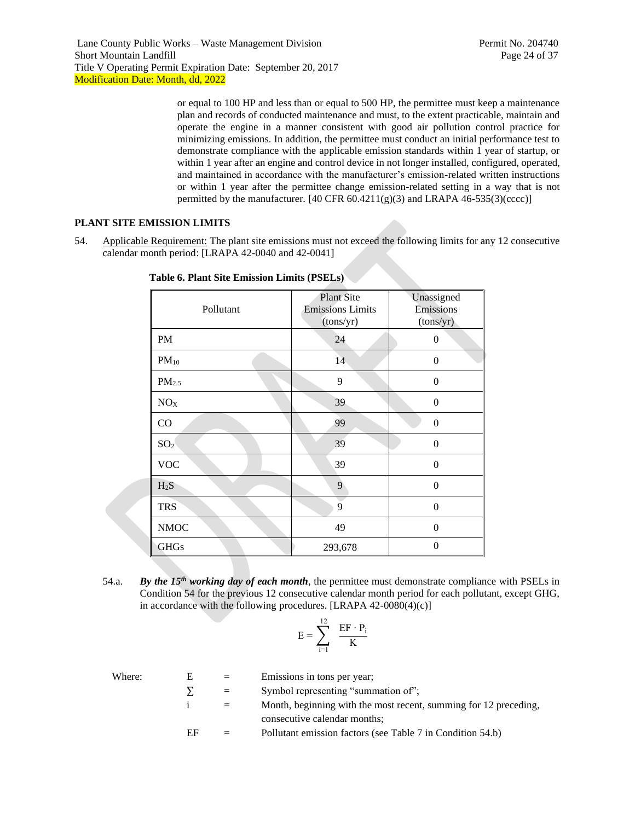or equal to 100 HP and less than or equal to 500 HP, the permittee must keep a maintenance plan and records of conducted maintenance and must, to the extent practicable, maintain and operate the engine in a manner consistent with good air pollution control practice for minimizing emissions. In addition, the permittee must conduct an initial performance test to demonstrate compliance with the applicable emission standards within 1 year of startup, or within 1 year after an engine and control device in not longer installed, configured, operated, and maintained in accordance with the manufacturer's emission-related written instructions or within 1 year after the permittee change emission-related setting in a way that is not permitted by the manufacturer.  $[40 \text{ CFR } 60.4211(g)(3)$  and LRAPA 46-535(3)(cccc)]

## **PLANT SITE EMISSION LIMITS**

<span id="page-23-0"></span>54. Applicable Requirement: The plant site emissions must not exceed the following limits for any 12 consecutive calendar month period: [LRAPA 42-0040 and 42-0041]

| Pollutant         | <b>Plant Site</b><br><b>Emissions Limits</b><br>(tons/yr) | Unassigned<br>Emissions<br>(tons/yr) |
|-------------------|-----------------------------------------------------------|--------------------------------------|
| PM                | 24                                                        | 0                                    |
| $PM_{10}$         | 14                                                        | $\boldsymbol{0}$                     |
| PM <sub>2.5</sub> | 9                                                         | $\theta$                             |
| NO <sub>X</sub>   | 39                                                        | $\boldsymbol{0}$                     |
| CO                | 99                                                        | $\boldsymbol{0}$                     |
| SO <sub>2</sub>   | 39                                                        | $\overline{0}$                       |
| <b>VOC</b>        | 39                                                        | $\theta$                             |
| $H_2S$            | 9                                                         | $\boldsymbol{0}$                     |
| <b>TRS</b>        | 9                                                         | $\boldsymbol{0}$                     |
| <b>NMOC</b>       | 49                                                        | $\theta$                             |
| <b>GHGs</b>       | 293,678                                                   | $\overline{0}$                       |

**Table 6. Plant Site Emission Limits (PSELs)**

54.a. *By the 15th working day of each month*, the permittee must demonstrate compliance with PSELs in Condition [54](#page-23-0) for the previous 12 consecutive calendar month period for each pollutant, except GHG, in accordance with the following procedures. [LRAPA 42-0080(4)(c)]

$$
E=\sum_{i=1}^{12}\ \frac{EF\cdot P_i}{K}
$$

| Where: | Н. | $=$ | Emissions in tons per year;                                      |
|--------|----|-----|------------------------------------------------------------------|
|        |    | $=$ | Symbol representing "summation of";                              |
|        |    | $=$ | Month, beginning with the most recent, summing for 12 preceding, |
|        |    |     | consecutive calendar months;                                     |
|        | ЕF | $=$ | Pollutant emission factors (see Table 7 in Condition 54.b)       |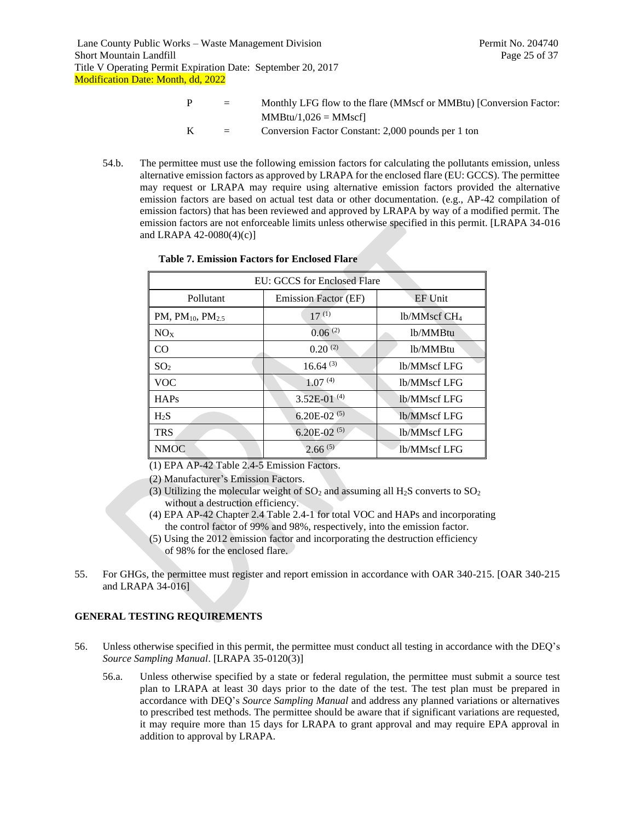- P = Monthly LFG flow to the flare (MMscf or MMBtu) [Conversion Factor:  $MMBtu/1,026 = MMscf$
- K = Conversion Factor Constant: 2,000 pounds per 1 ton
- <span id="page-24-0"></span>54.b. The permittee must use the following emission factors for calculating the pollutants emission, unless alternative emission factors as approved by LRAPA for the enclosed flare (EU: GCCS). The permittee may request or LRAPA may require using alternative emission factors provided the alternative emission factors are based on actual test data or other documentation. (e.g., AP-42 compilation of emission factors) that has been reviewed and approved by LRAPA by way of a modified permit. The emission factors are not enforceable limits unless otherwise specified in this permit. [LRAPA 34-016 and LRAPA 42-0080(4)(c)]

| EU: GCCS for Enclosed Flare              |                      |                          |  |
|------------------------------------------|----------------------|--------------------------|--|
| Pollutant                                | Emission Factor (EF) | <b>EF</b> Unit           |  |
| PM, PM <sub>10</sub> , PM <sub>2.5</sub> | $17^{(1)}$           | 1b/MMscf CH <sub>4</sub> |  |
| NO <sub>x</sub>                          | 0.06(2)              | lb/MMBtu                 |  |
| CO                                       | 0.20(2)              | lb/MMBtu                 |  |
| SO <sub>2</sub>                          | $16.64^{(3)}$        | lb/MMscf LFG             |  |
| <b>VOC</b>                               | $1.07^{(4)}$         | lb/MMscf LFG             |  |
| HAPs                                     | 3.52E-01 $(4)$       | <b>lb/MMscf LFG</b>      |  |
| H <sub>2</sub> S                         | 6.20E-02 $(5)$       | lb/MMscf LFG             |  |
| <b>TRS</b>                               | 6.20E-02 $(5)$       | lb/MMscf LFG             |  |
| <b>NMOC</b>                              | $2.66^{(5)}$         | lb/MMscf LFG             |  |

#### **Table 7. Emission Factors for Enclosed Flare**

- (1) EPA AP-42 Table 2.4-5 Emission Factors.
- (2) Manufacturer's Emission Factors.
- (3) Utilizing the molecular weight of  $SO_2$  and assuming all  $H_2S$  converts to  $SO_2$ without a destruction efficiency.
- (4) EPA AP-42 Chapter 2.4 Table 2.4-1 for total VOC and HAPs and incorporating the control factor of 99% and 98%, respectively, into the emission factor.
- (5) Using the 2012 emission factor and incorporating the destruction efficiency of 98% for the enclosed flare.
- 55. For GHGs, the permittee must register and report emission in accordance with OAR 340-215. [OAR 340-215 and LRAPA 34-016]

## **GENERAL TESTING REQUIREMENTS**

- 56. Unless otherwise specified in this permit, the permittee must conduct all testing in accordance with the DEQ's *Source Sampling Manual*. [LRAPA 35-0120(3)]
	- 56.a. Unless otherwise specified by a state or federal regulation, the permittee must submit a source test plan to LRAPA at least 30 days prior to the date of the test. The test plan must be prepared in accordance with DEQ's *Source Sampling Manual* and address any planned variations or alternatives to prescribed test methods. The permittee should be aware that if significant variations are requested, it may require more than 15 days for LRAPA to grant approval and may require EPA approval in addition to approval by LRAPA.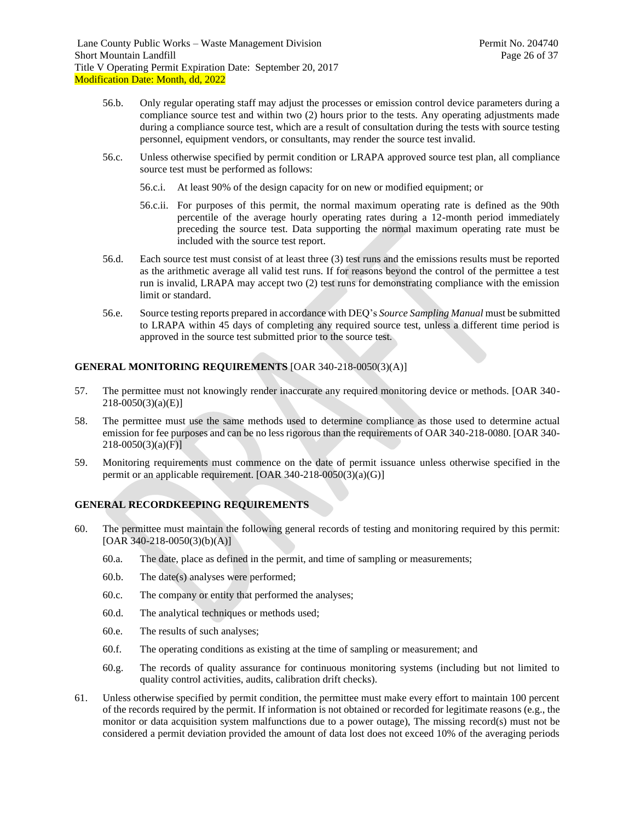- 56.b. Only regular operating staff may adjust the processes or emission control device parameters during a compliance source test and within two (2) hours prior to the tests. Any operating adjustments made during a compliance source test, which are a result of consultation during the tests with source testing personnel, equipment vendors, or consultants, may render the source test invalid.
- 56.c. Unless otherwise specified by permit condition or LRAPA approved source test plan, all compliance source test must be performed as follows:
	- 56.c.i. At least 90% of the design capacity for on new or modified equipment; or
	- 56.c.ii. For purposes of this permit, the normal maximum operating rate is defined as the 90th percentile of the average hourly operating rates during a 12-month period immediately preceding the source test. Data supporting the normal maximum operating rate must be included with the source test report.
- 56.d. Each source test must consist of at least three (3) test runs and the emissions results must be reported as the arithmetic average all valid test runs. If for reasons beyond the control of the permittee a test run is invalid, LRAPA may accept two (2) test runs for demonstrating compliance with the emission limit or standard.
- 56.e. Source testing reports prepared in accordance with DEQ's *Source Sampling Manual* must be submitted to LRAPA within 45 days of completing any required source test, unless a different time period is approved in the source test submitted prior to the source test.

## **GENERAL MONITORING REQUIREMENTS** [OAR 340-218-0050(3)(A)]

- 57. The permittee must not knowingly render inaccurate any required monitoring device or methods. [OAR 340- 218-0050(3)(a)(E)]
- 58. The permittee must use the same methods used to determine compliance as those used to determine actual emission for fee purposes and can be no less rigorous than the requirements of OAR 340-218-0080. [OAR 340-  $218-0050(3)(a)(F)$ ]
- 59. Monitoring requirements must commence on the date of permit issuance unless otherwise specified in the permit or an applicable requirement. [OAR 340-218-0050(3)(a)(G)]

## **GENERAL RECORDKEEPING REQUIREMENTS**

- 60. The permittee must maintain the following general records of testing and monitoring required by this permit:  $[OAR 340-218-0050(3)(b)(A)]$ 
	- 60.a. The date, place as defined in the permit, and time of sampling or measurements;
	- 60.b. The date(s) analyses were performed;
	- 60.c. The company or entity that performed the analyses;
	- 60.d. The analytical techniques or methods used;
	- 60.e. The results of such analyses;
	- 60.f. The operating conditions as existing at the time of sampling or measurement; and
	- 60.g. The records of quality assurance for continuous monitoring systems (including but not limited to quality control activities, audits, calibration drift checks).
- 61. Unless otherwise specified by permit condition, the permittee must make every effort to maintain 100 percent of the records required by the permit. If information is not obtained or recorded for legitimate reasons (e.g., the monitor or data acquisition system malfunctions due to a power outage), The missing record(s) must not be considered a permit deviation provided the amount of data lost does not exceed 10% of the averaging periods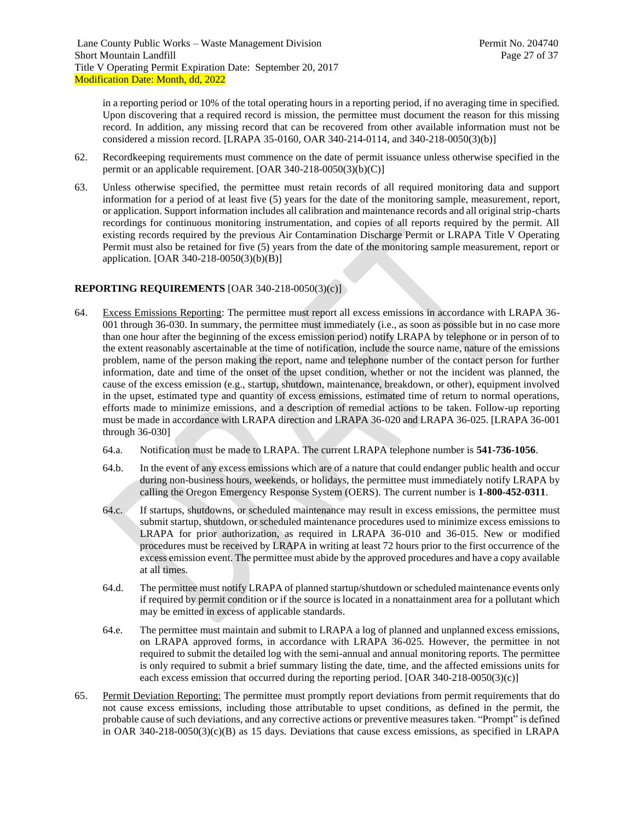in a reporting period or 10% of the total operating hours in a reporting period, if no averaging time in specified. Upon discovering that a required record is mission, the permittee must document the reason for this missing record. In addition, any missing record that can be recovered from other available information must not be considered a mission record. [LRAPA 35-0160, OAR 340-214-0114, and 340-218-0050(3)(b)]

- 62. Recordkeeping requirements must commence on the date of permit issuance unless otherwise specified in the permit or an applicable requirement. [OAR 340-218-0050(3)(b)(C)]
- 63. Unless otherwise specified, the permittee must retain records of all required monitoring data and support information for a period of at least five (5) years for the date of the monitoring sample, measurement, report, or application. Support information includes all calibration and maintenance records and all original strip-charts recordings for continuous monitoring instrumentation, and copies of all reports required by the permit. All existing records required by the previous Air Contamination Discharge Permit or LRAPA Title V Operating Permit must also be retained for five (5) years from the date of the monitoring sample measurement, report or application. [OAR 340-218-0050(3)(b)(B)]

## **REPORTING REQUIREMENTS** [OAR 340-218-0050(3)(c)]

- 64. Excess Emissions Reporting: The permittee must report all excess emissions in accordance with LRAPA 36- 001 through 36-030. In summary, the permittee must immediately (i.e., as soon as possible but in no case more than one hour after the beginning of the excess emission period) notify LRAPA by telephone or in person of to the extent reasonably ascertainable at the time of notification, include the source name, nature of the emissions problem, name of the person making the report, name and telephone number of the contact person for further information, date and time of the onset of the upset condition, whether or not the incident was planned, the cause of the excess emission (e.g., startup, shutdown, maintenance, breakdown, or other), equipment involved in the upset, estimated type and quantity of excess emissions, estimated time of return to normal operations, efforts made to minimize emissions, and a description of remedial actions to be taken. Follow-up reporting must be made in accordance with LRAPA direction and LRAPA 36-020 and LRAPA 36-025. [LRAPA 36-001 through 36-030]
	- 64.a. Notification must be made to LRAPA. The current LRAPA telephone number is **541-736-1056**.
	- 64.b. In the event of any excess emissions which are of a nature that could endanger public health and occur during non-business hours, weekends, or holidays, the permittee must immediately notify LRAPA by calling the Oregon Emergency Response System (OERS). The current number is **1-800-452-0311**.
	- 64.c. If startups, shutdowns, or scheduled maintenance may result in excess emissions, the permittee must submit startup, shutdown, or scheduled maintenance procedures used to minimize excess emissions to LRAPA for prior authorization, as required in LRAPA 36-010 and 36-015. New or modified procedures must be received by LRAPA in writing at least 72 hours prior to the first occurrence of the excess emission event. The permittee must abide by the approved procedures and have a copy available at all times.
	- 64.d. The permittee must notify LRAPA of planned startup/shutdown or scheduled maintenance events only if required by permit condition or if the source is located in a nonattainment area for a pollutant which may be emitted in excess of applicable standards.
	- 64.e. The permittee must maintain and submit to LRAPA a log of planned and unplanned excess emissions, on LRAPA approved forms, in accordance with LRAPA 36-025. However, the permittee in not required to submit the detailed log with the semi-annual and annual monitoring reports. The permittee is only required to submit a brief summary listing the date, time, and the affected emissions units for each excess emission that occurred during the reporting period. [OAR 340-218-0050(3)(c)]
- <span id="page-26-0"></span>65. Permit Deviation Reporting: The permittee must promptly report deviations from permit requirements that do not cause excess emissions, including those attributable to upset conditions, as defined in the permit, the probable cause of such deviations, and any corrective actions or preventive measures taken. "Prompt" is defined in OAR 340-218-0050(3)(c)(B) as 15 days. Deviations that cause excess emissions, as specified in LRAPA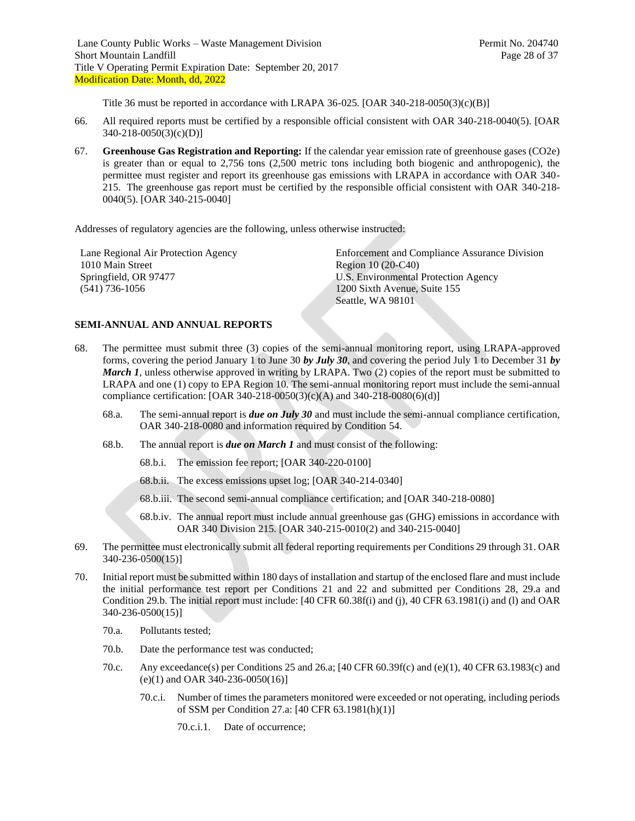Title 36 must be reported in accordance with LRAPA 36-025. [OAR 340-218-0050(3)(c)(B)]

- <span id="page-27-0"></span>66. All required reports must be certified by a responsible official consistent with OAR 340-218-0040(5). [OAR 340-218-0050(3)(c)(D)]
- 67. **Greenhouse Gas Registration and Reporting:** If the calendar year emission rate of greenhouse gases (CO2e) is greater than or equal to 2,756 tons (2,500 metric tons including both biogenic and anthropogenic), the permittee must register and report its greenhouse gas emissions with LRAPA in accordance with OAR 340- 215. The greenhouse gas report must be certified by the responsible official consistent with OAR 340-218- 0040(5). [OAR 340-215-0040]

Addresses of regulatory agencies are the following, unless otherwise instructed:

| Lane Regional Air Protection Agency | <b>Enforcement and Compliance Assurance Division</b> |
|-------------------------------------|------------------------------------------------------|
| 1010 Main Street                    | Region $10(20-C40)$                                  |
| Springfield, OR 97477               | U.S. Environmental Protection Agency                 |
| $(541)$ 736-1056                    | 1200 Sixth Avenue, Suite 155                         |
|                                     | Seattle, WA 98101                                    |
|                                     |                                                      |

## **SEMI-ANNUAL AND ANNUAL REPORTS**

- 68. The permittee must submit three (3) copies of the semi-annual monitoring report, using LRAPA-approved forms, covering the period January 1 to June 30 *by July 30*, and covering the period July 1 to December 31 *by March 1*, unless otherwise approved in writing by LRAPA. Two (2) copies of the report must be submitted to LRAPA and one (1) copy to EPA Region 10. The semi-annual monitoring report must include the semi-annual compliance certification:  $[OAR 340-218-0050(3)(c)(A)$  and  $340-218-0080(6)(d)]$ 
	- 68.a. The semi-annual report is *due on July 30* and must include the semi-annual compliance certification, OAR 340-218-0080 and information required by Condition [54.](#page-23-0)
	- 68.b. The annual report is *due on March 1* and must consist of the following:
		- 68.b.i. The emission fee report; [OAR 340-220-0100]
		- 68.b.ii. The excess emissions upset log; [OAR 340-214-0340]
		- 68.b.iii. The second semi-annual compliance certification; and [OAR 340-218-0080]
		- 68.b.iv. The annual report must include annual greenhouse gas (GHG) emissions in accordance with OAR 340 Division 215. [OAR 340-215-0010(2) and 340-215-0040]
- 69. The permittee must electronically submit all federal reporting requirements per Condition[s 29](#page-11-0) throug[h 31.](#page-12-0) OAR 340-236-0500(15)]
- 70. Initial report must be submitted within 180 days of installation and startup of the enclosed flare and must include the initial performance test report per Conditions [21](#page-8-3) and [22](#page-9-3) and submitted per Conditions [28,](#page-10-2) [29.a](#page-11-1) and Conditio[n 29.b.](#page-11-2) The initial report must include: [40 CFR 60.38f(i) and (j), 40 CFR 63.1981(i) and (l) and OAR 340-236-0500(15)]
	- 70.a. Pollutants tested;
	- 70.b. Date the performance test was conducted;
	- 70.c. Any exceedance(s) per Conditions [25](#page-9-2) and [26.a;](#page-10-4) [40 CFR 60.39f(c) and (e)(1), 40 CFR 63.1983(c) and (e)(1) and OAR 340-236-0050(16)]
		- 70.c.i. Number of times the parameters monitored were exceeded or not operating, including periods of SSM per Condition [27.a:](#page-10-5) [40 CFR 63.1981(h)(1)]
			- 70.c.i.1. Date of occurrence;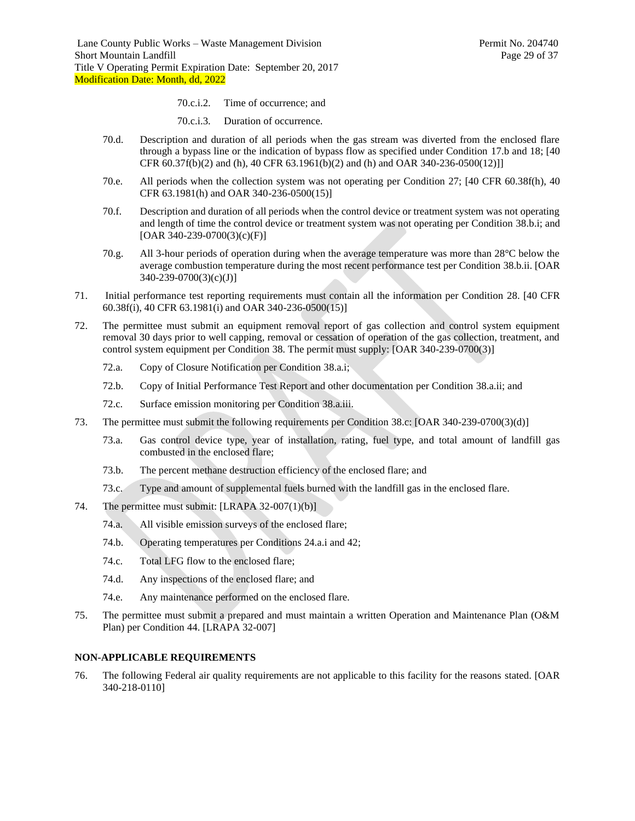- 70.c.i.2. Time of occurrence; and
- 70.c.i.3. Duration of occurrence.
- 70.d. Description and duration of all periods when the gas stream was diverted from the enclosed flare through a bypass line or the indication of bypass flow as specified under Condition [17.b](#page-8-8) and [18;](#page-8-0) [40 CFR 60.37f(b)(2) and (h), 40 CFR 63.1961(b)(2) and (h) and OAR 340-236-0500(12)]]
- 70.e. All periods when the collection system was not operating per Condition [27;](#page-10-1) [40 CFR 60.38f(h), 40 CFR 63.1981(h) and OAR 340-236-0500(15)]
- 70.f. Description and duration of all periods when the control device or treatment system was not operating and length of time the control device or treatment system was not operating per Condition [38.b.i;](#page-16-1) and  $[OAR 340-239-0700(3)(c)(F)]$
- 70.g. All 3-hour periods of operation during when the average temperature was more than 28°C below the average combustion temperature during the most recent performance test per Condition [38.b.ii.](#page-16-2) [OAR 340-239-0700(3)(c)(J)]
- 71. Initial performance test reporting requirements must contain all the information per Condition [28.](#page-10-2) [40 CFR 60.38f(i), 40 CFR 63.1981(i) and OAR 340-236-0500(15)]
- 72. The permittee must submit an equipment removal report of gas collection and control system equipment removal 30 days prior to well capping, removal or cessation of operation of the gas collection, treatment, and control system equipment per Conditio[n 38.](#page-16-0) The permit must supply: [OAR 340-239-0700(3)]
	- 72.a. Copy of Closure Notification per Condition [38.a.i;](#page-16-3)
	- 72.b. Copy of Initial Performance Test Report and other documentation per Condition [38.a.ii;](#page-16-4) and
	- 72.c. Surface emission monitoring per Condition [38.a.iii.](#page-16-5)
- 73. The permittee must submit the following requirements per Condition [38.c:](#page-16-6) [OAR 340-239-0700(3)(d)]
	- 73.a. Gas control device type, year of installation, rating, fuel type, and total amount of landfill gas combusted in the enclosed flare;
	- 73.b. The percent methane destruction efficiency of the enclosed flare; and
	- 73.c. Type and amount of supplemental fuels burned with the landfill gas in the enclosed flare.
- 74. The permittee must submit: [LRAPA 32-007(1)(b)]
	- 74.a. All visible emission surveys of the enclosed flare;
	- 74.b. Operating temperatures per Conditions [24.a.i](#page-9-6) and [42;](#page-18-3)
	- 74.c. Total LFG flow to the enclosed flare;
	- 74.d. Any inspections of the enclosed flare; and
	- 74.e. Any maintenance performed on the enclosed flare.
- 75. The permittee must submit a prepared and must maintain a written Operation and Maintenance Plan (O&M Plan) per Condition [44.](#page-19-1) [LRAPA 32-007]

#### **NON-APPLICABLE REQUIREMENTS**

76. The following Federal air quality requirements are not applicable to this facility for the reasons stated. [OAR 340-218-0110]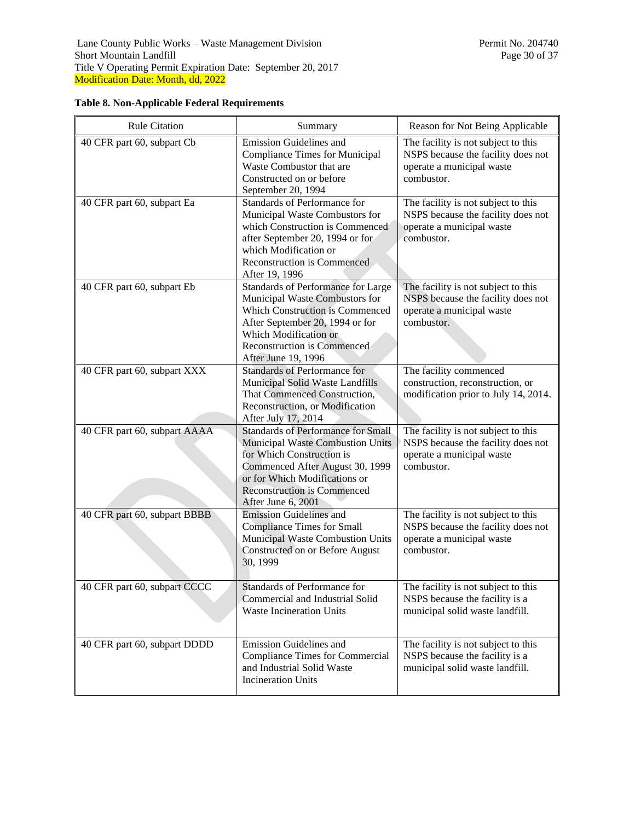## **Table 8. Non-Applicable Federal Requirements**

| <b>Rule Citation</b>         | Summary                                                                                                                                                                                                                                           | Reason for Not Being Applicable                                                                                      |
|------------------------------|---------------------------------------------------------------------------------------------------------------------------------------------------------------------------------------------------------------------------------------------------|----------------------------------------------------------------------------------------------------------------------|
| 40 CFR part 60, subpart Cb   | Emission Guidelines and<br><b>Compliance Times for Municipal</b><br>Waste Combustor that are<br>Constructed on or before<br>September 20, 1994                                                                                                    | The facility is not subject to this<br>NSPS because the facility does not<br>operate a municipal waste<br>combustor. |
| 40 CFR part 60, subpart Ea   | Standards of Performance for<br>Municipal Waste Combustors for<br>which Construction is Commenced<br>after September 20, 1994 or for<br>which Modification or<br><b>Reconstruction is Commenced</b><br>After 19, 1996                             | The facility is not subject to this<br>NSPS because the facility does not<br>operate a municipal waste<br>combustor. |
| 40 CFR part 60, subpart Eb   | Standards of Performance for Large<br>Municipal Waste Combustors for<br><b>Which Construction is Commenced</b><br>After September 20, 1994 or for<br>Which Modification or<br><b>Reconstruction is Commenced</b><br>After June 19, 1996           | The facility is not subject to this<br>NSPS because the facility does not<br>operate a municipal waste<br>combustor. |
| 40 CFR part 60, subpart XXX  | Standards of Performance for<br>Municipal Solid Waste Landfills<br><b>That Commenced Construction,</b><br>Reconstruction, or Modification<br>After July 17, 2014                                                                                  | The facility commenced<br>construction, reconstruction, or<br>modification prior to July 14, 2014.                   |
| 40 CFR part 60, subpart AAAA | <b>Standards of Performance for Small</b><br><b>Municipal Waste Combustion Units</b><br>for Which Construction is<br>Commenced After August 30, 1999<br>or for Which Modifications or<br><b>Reconstruction is Commenced</b><br>After June 6, 2001 | The facility is not subject to this<br>NSPS because the facility does not<br>operate a municipal waste<br>combustor. |
| 40 CFR part 60, subpart BBBB | <b>Emission Guidelines and</b><br><b>Compliance Times for Small</b><br>Municipal Waste Combustion Units<br>Constructed on or Before August<br>30, 1999                                                                                            | The facility is not subject to this<br>NSPS because the facility does not<br>operate a municipal waste<br>combustor. |
| 40 CFR part 60, subpart CCCC | Standards of Performance for<br>Commercial and Industrial Solid<br><b>Waste Incineration Units</b>                                                                                                                                                | The facility is not subject to this<br>NSPS because the facility is a<br>municipal solid waste landfill.             |
| 40 CFR part 60, subpart DDDD | Emission Guidelines and<br><b>Compliance Times for Commercial</b><br>and Industrial Solid Waste<br><b>Incineration Units</b>                                                                                                                      | The facility is not subject to this<br>NSPS because the facility is a<br>municipal solid waste landfill.             |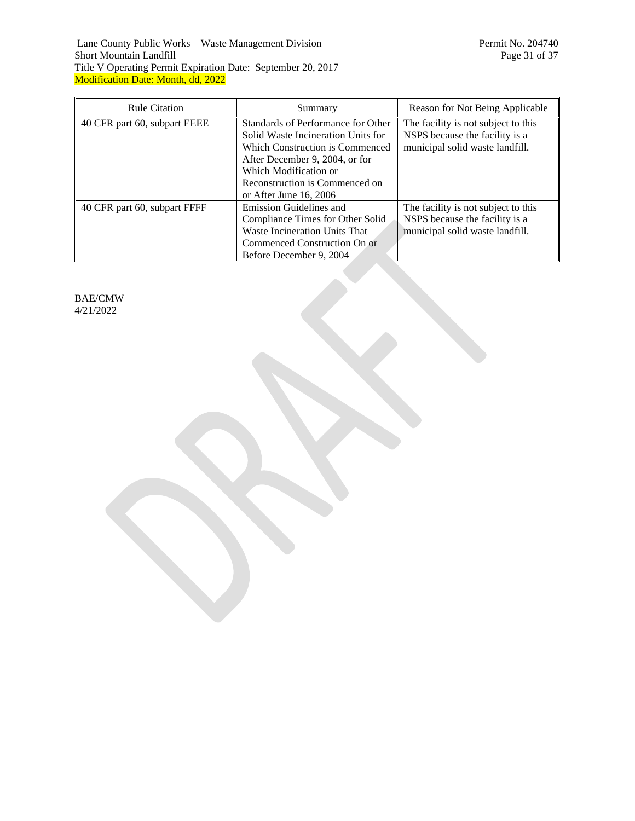Lane County Public Works – Waste Management Division Permit No. 204740<br>Short Mountain Landfill Page 31 of 37 Short Mountain Landfill **Page 31** of 37 Title V Operating Permit Expiration Date: September 20, 2017 Modification Date: Month, dd, 2022

| <b>Rule Citation</b>         | Summary                                                                                                                                                                                                                              | Reason for Not Being Applicable                                                                          |
|------------------------------|--------------------------------------------------------------------------------------------------------------------------------------------------------------------------------------------------------------------------------------|----------------------------------------------------------------------------------------------------------|
| 40 CFR part 60, subpart EEEE | Standards of Performance for Other<br>Solid Waste Incineration Units for<br>Which Construction is Commenced<br>After December 9, 2004, or for<br>Which Modification or<br>Reconstruction is Commenced on<br>or After June $16, 2006$ | The facility is not subject to this<br>NSPS because the facility is a<br>municipal solid waste landfill. |
| 40 CFR part 60, subpart FFFF | Emission Guidelines and<br>Compliance Times for Other Solid<br>Waste Incineration Units That<br>Commenced Construction On or<br>Before December 9, 2004                                                                              | The facility is not subject to this<br>NSPS because the facility is a<br>municipal solid waste landfill. |

BAE/CMW 4/21/2022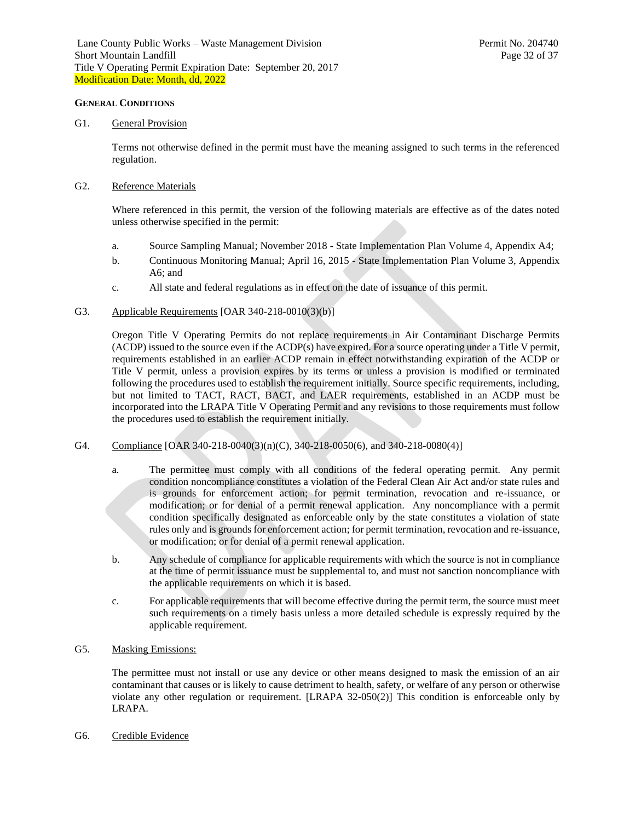#### **GENERAL CONDITIONS**

#### G1. General Provision

Terms not otherwise defined in the permit must have the meaning assigned to such terms in the referenced regulation.

#### G2. Reference Materials

Where referenced in this permit, the version of the following materials are effective as of the dates noted unless otherwise specified in the permit:

- a. Source Sampling Manual; November 2018 State Implementation Plan Volume 4, Appendix A4;
- b. Continuous Monitoring Manual; April 16, 2015 State Implementation Plan Volume 3, Appendix A6; and
- c. All state and federal regulations as in effect on the date of issuance of this permit.
- G3. Applicable Requirements [OAR 340-218-0010(3)(b)]

Oregon Title V Operating Permits do not replace requirements in Air Contaminant Discharge Permits (ACDP) issued to the source even if the ACDP(s) have expired. For a source operating under a Title V permit, requirements established in an earlier ACDP remain in effect notwithstanding expiration of the ACDP or Title V permit, unless a provision expires by its terms or unless a provision is modified or terminated following the procedures used to establish the requirement initially. Source specific requirements, including, but not limited to TACT, RACT, BACT, and LAER requirements, established in an ACDP must be incorporated into the LRAPA Title V Operating Permit and any revisions to those requirements must follow the procedures used to establish the requirement initially.

- G4. Compliance [OAR 340-218-0040(3)(n)(C), 340-218-0050(6), and 340-218-0080(4)]
	- a. The permittee must comply with all conditions of the federal operating permit. Any permit condition noncompliance constitutes a violation of the Federal Clean Air Act and/or state rules and is grounds for enforcement action; for permit termination, revocation and re-issuance, or modification; or for denial of a permit renewal application. Any noncompliance with a permit condition specifically designated as enforceable only by the state constitutes a violation of state rules only and is grounds for enforcement action; for permit termination, revocation and re-issuance, or modification; or for denial of a permit renewal application.
	- b. Any schedule of compliance for applicable requirements with which the source is not in compliance at the time of permit issuance must be supplemental to, and must not sanction noncompliance with the applicable requirements on which it is based.
	- c. For applicable requirements that will become effective during the permit term, the source must meet such requirements on a timely basis unless a more detailed schedule is expressly required by the applicable requirement.
- G5. Masking Emissions:

The permittee must not install or use any device or other means designed to mask the emission of an air contaminant that causes or is likely to cause detriment to health, safety, or welfare of any person or otherwise violate any other regulation or requirement. [LRAPA 32-050(2)] This condition is enforceable only by LRAPA.

G6. Credible Evidence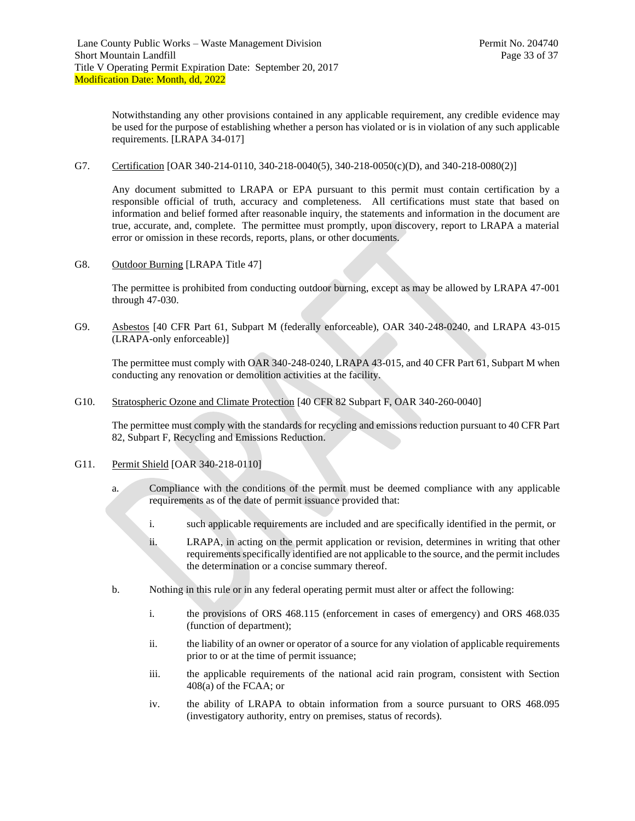Notwithstanding any other provisions contained in any applicable requirement, any credible evidence may be used for the purpose of establishing whether a person has violated or is in violation of any such applicable requirements. [LRAPA 34-017]

G7. Certification [OAR 340-214-0110, 340-218-0040(5), 340-218-0050(c)(D), and 340-218-0080(2)]

Any document submitted to LRAPA or EPA pursuant to this permit must contain certification by a responsible official of truth, accuracy and completeness. All certifications must state that based on information and belief formed after reasonable inquiry, the statements and information in the document are true, accurate, and, complete. The permittee must promptly, upon discovery, report to LRAPA a material error or omission in these records, reports, plans, or other documents.

G8. Outdoor Burning [LRAPA Title 47]

The permittee is prohibited from conducting outdoor burning, except as may be allowed by LRAPA 47-001 through 47-030.

G9. Asbestos [40 CFR Part 61, Subpart M (federally enforceable), OAR 340-248-0240, and LRAPA 43-015 (LRAPA-only enforceable)]

The permittee must comply with OAR 340-248-0240, LRAPA 43-015, and 40 CFR Part 61, Subpart M when conducting any renovation or demolition activities at the facility.

G10. Stratospheric Ozone and Climate Protection [40 CFR 82 Subpart F, OAR 340-260-0040]

The permittee must comply with the standards for recycling and emissions reduction pursuant to 40 CFR Part 82, Subpart F, Recycling and Emissions Reduction.

## G11. Permit Shield [OAR 340-218-0110]

- a. Compliance with the conditions of the permit must be deemed compliance with any applicable requirements as of the date of permit issuance provided that:
	- i. such applicable requirements are included and are specifically identified in the permit, or
	- ii. LRAPA, in acting on the permit application or revision, determines in writing that other requirements specifically identified are not applicable to the source, and the permit includes the determination or a concise summary thereof.
- b. Nothing in this rule or in any federal operating permit must alter or affect the following:
	- i. the provisions of ORS 468.115 (enforcement in cases of emergency) and ORS 468.035 (function of department);
	- ii. the liability of an owner or operator of a source for any violation of applicable requirements prior to or at the time of permit issuance;
	- iii. the applicable requirements of the national acid rain program, consistent with Section 408(a) of the FCAA; or
	- iv. the ability of LRAPA to obtain information from a source pursuant to ORS 468.095 (investigatory authority, entry on premises, status of records).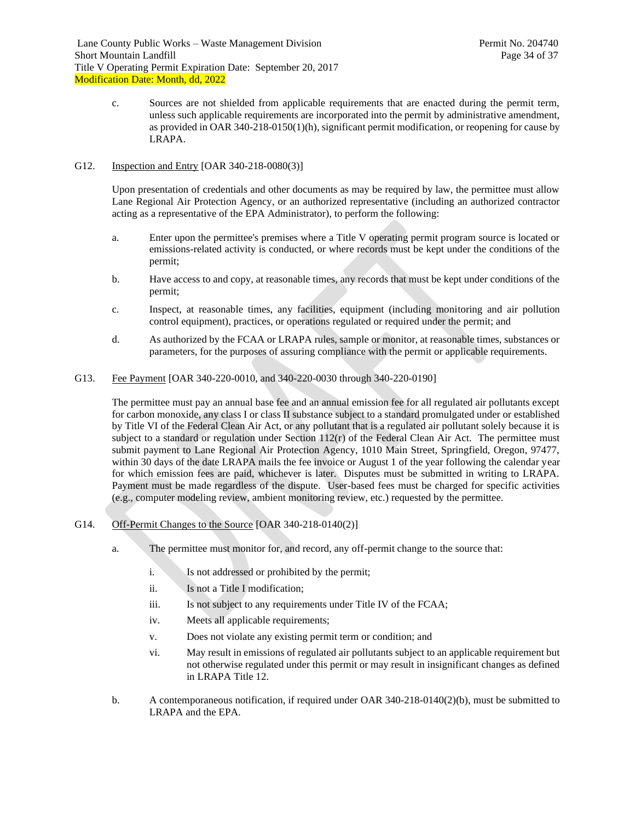c. Sources are not shielded from applicable requirements that are enacted during the permit term, unless such applicable requirements are incorporated into the permit by administrative amendment, as provided in OAR 340-218-0150(1)(h), significant permit modification, or reopening for cause by LRAPA.

### G12. Inspection and Entry [OAR 340-218-0080(3)]

Upon presentation of credentials and other documents as may be required by law, the permittee must allow Lane Regional Air Protection Agency, or an authorized representative (including an authorized contractor acting as a representative of the EPA Administrator), to perform the following:

- a. Enter upon the permittee's premises where a Title V operating permit program source is located or emissions-related activity is conducted, or where records must be kept under the conditions of the permit;
- b. Have access to and copy, at reasonable times, any records that must be kept under conditions of the permit;
- c. Inspect, at reasonable times, any facilities, equipment (including monitoring and air pollution control equipment), practices, or operations regulated or required under the permit; and
- d. As authorized by the FCAA or LRAPA rules, sample or monitor, at reasonable times, substances or parameters, for the purposes of assuring compliance with the permit or applicable requirements.
- G13. Fee Payment [OAR 340-220-0010, and 340-220-0030 through 340-220-0190]

The permittee must pay an annual base fee and an annual emission fee for all regulated air pollutants except for carbon monoxide, any class I or class II substance subject to a standard promulgated under or established by Title VI of the Federal Clean Air Act, or any pollutant that is a regulated air pollutant solely because it is subject to a standard or regulation under Section  $112(r)$  of the Federal Clean Air Act. The permittee must submit payment to Lane Regional Air Protection Agency, 1010 Main Street, Springfield, Oregon, 97477, within 30 days of the date LRAPA mails the fee invoice or August 1 of the year following the calendar year for which emission fees are paid, whichever is later. Disputes must be submitted in writing to LRAPA. Payment must be made regardless of the dispute. User-based fees must be charged for specific activities (e.g., computer modeling review, ambient monitoring review, etc.) requested by the permittee.

- G14. Off-Permit Changes to the Source [OAR 340-218-0140(2)]
	- a. The permittee must monitor for, and record, any off-permit change to the source that:
		- i. Is not addressed or prohibited by the permit;
		- ii. Is not a Title I modification;
		- iii. Is not subject to any requirements under Title IV of the FCAA;
		- iv. Meets all applicable requirements;
		- v. Does not violate any existing permit term or condition; and
		- vi. May result in emissions of regulated air pollutants subject to an applicable requirement but not otherwise regulated under this permit or may result in insignificant changes as defined in LRAPA Title 12.
	- b. A contemporaneous notification, if required under OAR 340-218-0140(2)(b), must be submitted to LRAPA and the EPA.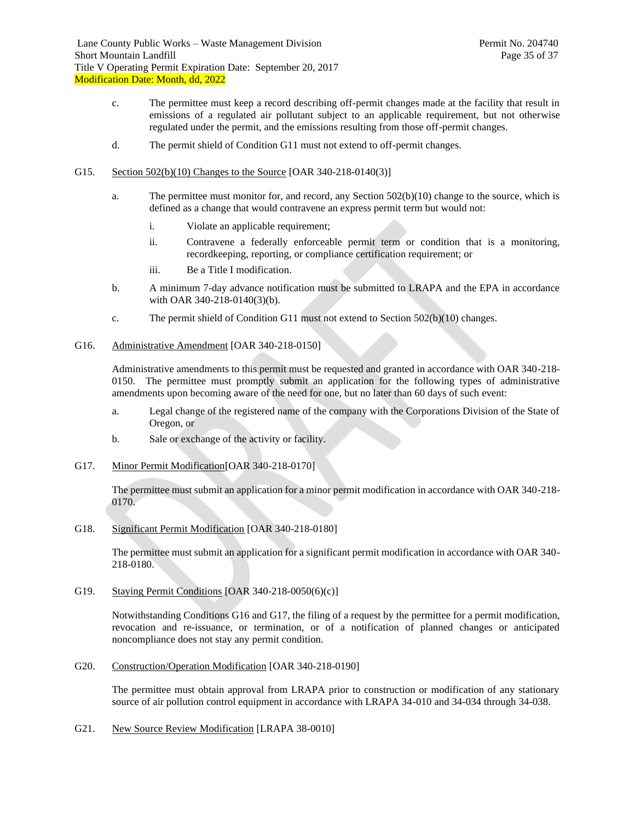- c. The permittee must keep a record describing off-permit changes made at the facility that result in emissions of a regulated air pollutant subject to an applicable requirement, but not otherwise regulated under the permit, and the emissions resulting from those off-permit changes.
- d. The permit shield of Condition G11 must not extend to off-permit changes.
- G15. Section 502(b)(10) Changes to the Source [OAR 340-218-0140(3)]
	- a. The permittee must monitor for, and record, any Section  $502(b)(10)$  change to the source, which is defined as a change that would contravene an express permit term but would not:
		- i. Violate an applicable requirement;
		- ii. Contravene a federally enforceable permit term or condition that is a monitoring, recordkeeping, reporting, or compliance certification requirement; or
		- iii. Be a Title I modification.
	- b. A minimum 7-day advance notification must be submitted to LRAPA and the EPA in accordance with OAR 340-218-0140(3)(b).
	- c. The permit shield of Condition G11 must not extend to Section 502(b)(10) changes.
- <span id="page-34-0"></span>G16. Administrative Amendment [OAR 340-218-0150]

Administrative amendments to this permit must be requested and granted in accordance with OAR 340-218- 0150. The permittee must promptly submit an application for the following types of administrative amendments upon becoming aware of the need for one, but no later than 60 days of such event:

- a. Legal change of the registered name of the company with the Corporations Division of the State of Oregon, or
- b. Sale or exchange of the activity or facility.
- <span id="page-34-1"></span>G17. Minor Permit Modification[OAR 340-218-0170]

The permittee must submit an application for a minor permit modification in accordance with OAR 340-218- 0170.

G18. Significant Permit Modification [OAR 340-218-0180]

The permittee must submit an application for a significant permit modification in accordance with OAR 340- 218-0180.

G19. Staying Permit Conditions [OAR 340-218-0050(6)(c)]

Notwithstanding Conditions [G16](#page-34-0) and [G17,](#page-34-1) the filing of a request by the permittee for a permit modification, revocation and re-issuance, or termination, or of a notification of planned changes or anticipated noncompliance does not stay any permit condition.

G20. Construction/Operation Modification [OAR 340-218-0190]

The permittee must obtain approval from LRAPA prior to construction or modification of any stationary source of air pollution control equipment in accordance with LRAPA 34-010 and 34-034 through 34-038.

G21. New Source Review Modification [LRAPA 38-0010]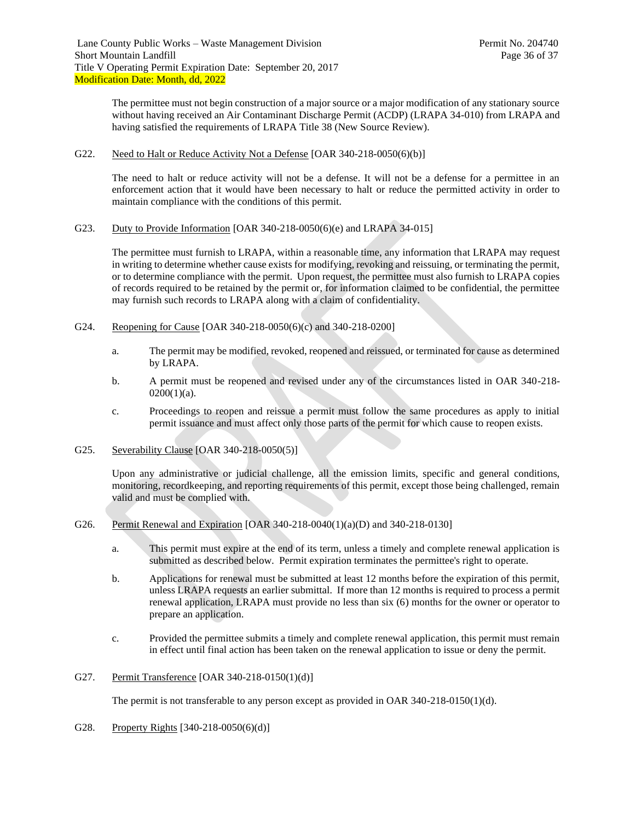The permittee must not begin construction of a major source or a major modification of any stationary source without having received an Air Contaminant Discharge Permit (ACDP) (LRAPA 34-010) from LRAPA and having satisfied the requirements of LRAPA Title 38 (New Source Review).

#### G22. Need to Halt or Reduce Activity Not a Defense [OAR 340-218-0050(6)(b)]

The need to halt or reduce activity will not be a defense. It will not be a defense for a permittee in an enforcement action that it would have been necessary to halt or reduce the permitted activity in order to maintain compliance with the conditions of this permit.

#### G23. Duty to Provide Information [OAR 340-218-0050(6)(e) and LRAPA 34-015]

The permittee must furnish to LRAPA, within a reasonable time, any information that LRAPA may request in writing to determine whether cause exists for modifying, revoking and reissuing, or terminating the permit, or to determine compliance with the permit. Upon request, the permittee must also furnish to LRAPA copies of records required to be retained by the permit or, for information claimed to be confidential, the permittee may furnish such records to LRAPA along with a claim of confidentiality.

- G24. Reopening for Cause [OAR 340-218-0050(6)(c) and 340-218-0200]
	- a. The permit may be modified, revoked, reopened and reissued, or terminated for cause as determined by LRAPA.
	- b. A permit must be reopened and revised under any of the circumstances listed in OAR 340-218-  $0200(1)(a)$ .
	- c. Proceedings to reopen and reissue a permit must follow the same procedures as apply to initial permit issuance and must affect only those parts of the permit for which cause to reopen exists.
- G25. Severability Clause [OAR 340-218-0050(5)]

Upon any administrative or judicial challenge, all the emission limits, specific and general conditions, monitoring, recordkeeping, and reporting requirements of this permit, except those being challenged, remain valid and must be complied with.

## G26. Permit Renewal and Expiration [OAR 340-218-0040(1)(a)(D) and 340-218-0130]

- a. This permit must expire at the end of its term, unless a timely and complete renewal application is submitted as described below. Permit expiration terminates the permittee's right to operate.
- b. Applications for renewal must be submitted at least 12 months before the expiration of this permit, unless LRAPA requests an earlier submittal. If more than 12 months is required to process a permit renewal application, LRAPA must provide no less than six (6) months for the owner or operator to prepare an application.
- c. Provided the permittee submits a timely and complete renewal application, this permit must remain in effect until final action has been taken on the renewal application to issue or deny the permit.
- G27. Permit Transference [OAR 340-218-0150(1)(d)]

The permit is not transferable to any person except as provided in OAR 340-218-0150(1)(d).

G28. Property Rights [340-218-0050(6)(d)]